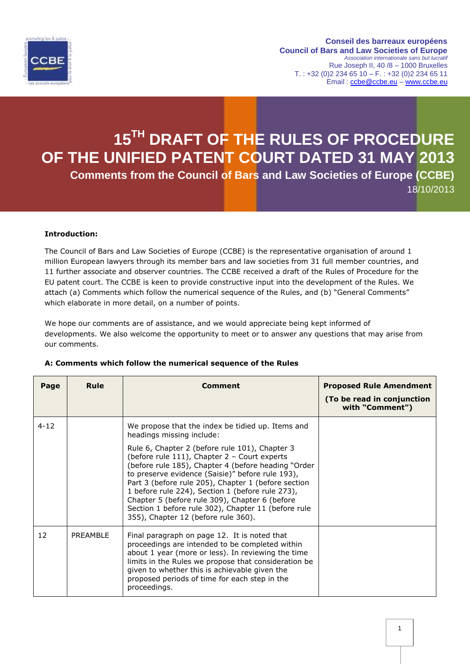

**Conseil des barreaux européens Council of Bars and Law Societies of Europe** *Association internationale sans but lucratif* Rue Joseph II, 40 /8 – 1000 Bruxelles  $T. : +32 (0)2 234 65 10 - F. : +32 (0)2 234 65 11$ Email : [ccbe@ccbe.eu](mailto:ccbe@ccbe.eu) – [www.ccbe.eu](http://www.ccbe.eu/)

# **15TH DRAFT OF THE RULES OF PROCEDURE OF THE UNIFIED PATENT COURT DATED 31 MAY 2013 Comments from the Council of Bars and Law Societies of Europe (CCBE)** 18/10/2013

### **Introduction:**

The Council of Bars and Law Societies of Europe (CCBE) is the representative organisation of around 1 million European lawyers through its member bars and law societies from 31 full member countries, and 11 further associate and observer countries. The CCBE received a draft of the Rules of Procedure for the EU patent court. The CCBE is keen to provide constructive input into the development of the Rules. We attach (a) Comments which follow the numerical sequence of the Rules, and (b) "General Comments" which elaborate in more detail, on a number of points.

We hope our comments are of assistance, and we would appreciate being kept informed of developments. We also welcome the opportunity to meet or to answer any questions that may arise from our comments.

| Page     | Rule     | <b>Comment</b>                                                                                                                                                                                                                                                                                                                                                                                                                                                                                                                                         | <b>Proposed Rule Amendment</b><br>(To be read in conjunction<br>with "Comment") |
|----------|----------|--------------------------------------------------------------------------------------------------------------------------------------------------------------------------------------------------------------------------------------------------------------------------------------------------------------------------------------------------------------------------------------------------------------------------------------------------------------------------------------------------------------------------------------------------------|---------------------------------------------------------------------------------|
| $4 - 12$ |          | We propose that the index be tidied up. Items and<br>headings missing include:<br>Rule 6, Chapter 2 (before rule 101), Chapter 3<br>(before rule 111), Chapter 2 - Court experts<br>(before rule 185), Chapter 4 (before heading "Order<br>to preserve evidence (Saisie)" before rule 193),<br>Part 3 (before rule 205), Chapter 1 (before section<br>1 before rule 224), Section 1 (before rule 273),<br>Chapter 5 (before rule 309), Chapter 6 (before<br>Section 1 before rule 302), Chapter 11 (before rule<br>355), Chapter 12 (before rule 360). |                                                                                 |
| 12       | PRFAMBLE | Final paragraph on page 12. It is noted that<br>proceedings are intended to be completed within<br>about 1 year (more or less). In reviewing the time<br>limits in the Rules we propose that consideration be<br>given to whether this is achievable given the<br>proposed periods of time for each step in the<br>proceedings.                                                                                                                                                                                                                        |                                                                                 |

#### **A: Comments which follow the numerical sequence of the Rules**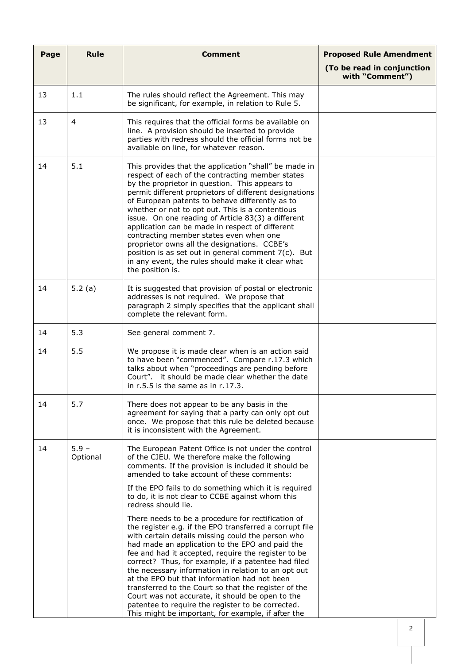| Page | Rule                | Comment                                                                                                                                                                                                                                                                                                                                                                                                                                                                                                                                                                                                                                                           | <b>Proposed Rule Amendment</b><br>(To be read in conjunction |
|------|---------------------|-------------------------------------------------------------------------------------------------------------------------------------------------------------------------------------------------------------------------------------------------------------------------------------------------------------------------------------------------------------------------------------------------------------------------------------------------------------------------------------------------------------------------------------------------------------------------------------------------------------------------------------------------------------------|--------------------------------------------------------------|
|      |                     |                                                                                                                                                                                                                                                                                                                                                                                                                                                                                                                                                                                                                                                                   | with "Comment")                                              |
| 13   | 1.1                 | The rules should reflect the Agreement. This may<br>be significant, for example, in relation to Rule 5.                                                                                                                                                                                                                                                                                                                                                                                                                                                                                                                                                           |                                                              |
| 13   | $\overline{4}$      | This requires that the official forms be available on<br>line. A provision should be inserted to provide<br>parties with redress should the official forms not be<br>available on line, for whatever reason.                                                                                                                                                                                                                                                                                                                                                                                                                                                      |                                                              |
| 14   | 5.1                 | This provides that the application "shall" be made in<br>respect of each of the contracting member states<br>by the proprietor in question. This appears to<br>permit different proprietors of different designations<br>of European patents to behave differently as to<br>whether or not to opt out. This is a contentious<br>issue. On one reading of Article 83(3) a different<br>application can be made in respect of different<br>contracting member states even when one<br>proprietor owns all the designations. CCBE's<br>position is as set out in general comment 7(c). But<br>in any event, the rules should make it clear what<br>the position is.  |                                                              |
| 14   | 5.2 $(a)$           | It is suggested that provision of postal or electronic<br>addresses is not required. We propose that<br>paragraph 2 simply specifies that the applicant shall<br>complete the relevant form.                                                                                                                                                                                                                                                                                                                                                                                                                                                                      |                                                              |
| 14   | 5.3                 | See general comment 7.                                                                                                                                                                                                                                                                                                                                                                                                                                                                                                                                                                                                                                            |                                                              |
| 14   | 5.5                 | We propose it is made clear when is an action said<br>to have been "commenced". Compare r.17.3 which<br>talks about when "proceedings are pending before<br>Court". it should be made clear whether the date<br>in $r.5.5$ is the same as in $r.17.3$ .                                                                                                                                                                                                                                                                                                                                                                                                           |                                                              |
| 14   | 5.7                 | There does not appear to be any basis in the<br>agreement for saying that a party can only opt out<br>once. We propose that this rule be deleted because<br>it is inconsistent with the Agreement.                                                                                                                                                                                                                                                                                                                                                                                                                                                                |                                                              |
| 14   | $5.9 -$<br>Optional | The European Patent Office is not under the control<br>of the CJEU. We therefore make the following<br>comments. If the provision is included it should be<br>amended to take account of these comments:                                                                                                                                                                                                                                                                                                                                                                                                                                                          |                                                              |
|      |                     | If the EPO fails to do something which it is required<br>to do, it is not clear to CCBE against whom this<br>redress should lie.                                                                                                                                                                                                                                                                                                                                                                                                                                                                                                                                  |                                                              |
|      |                     | There needs to be a procedure for rectification of<br>the register e.g. if the EPO transferred a corrupt file<br>with certain details missing could the person who<br>had made an application to the EPO and paid the<br>fee and had it accepted, require the register to be<br>correct? Thus, for example, if a patentee had filed<br>the necessary information in relation to an opt out<br>at the EPO but that information had not been<br>transferred to the Court so that the register of the<br>Court was not accurate, it should be open to the<br>patentee to require the register to be corrected.<br>This might be important, for example, if after the |                                                              |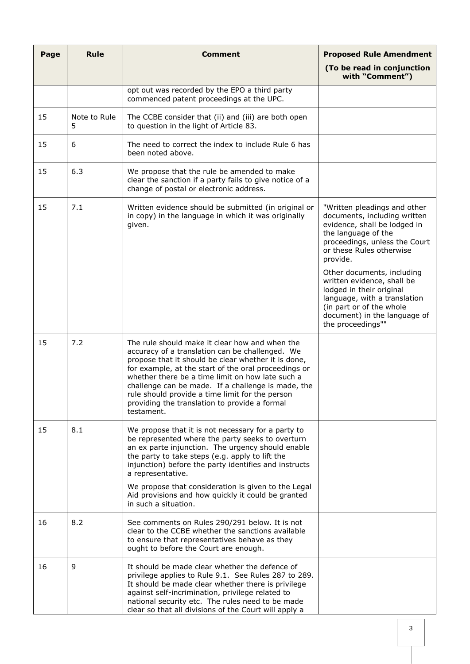| Page | <b>Rule</b>       | <b>Comment</b>                                                                                                                                                                                                                                                                                                                                                                                                                               | <b>Proposed Rule Amendment</b>                                                                                                                                                                        |
|------|-------------------|----------------------------------------------------------------------------------------------------------------------------------------------------------------------------------------------------------------------------------------------------------------------------------------------------------------------------------------------------------------------------------------------------------------------------------------------|-------------------------------------------------------------------------------------------------------------------------------------------------------------------------------------------------------|
|      |                   |                                                                                                                                                                                                                                                                                                                                                                                                                                              | (To be read in conjunction<br>with "Comment")                                                                                                                                                         |
|      |                   | opt out was recorded by the EPO a third party<br>commenced patent proceedings at the UPC.                                                                                                                                                                                                                                                                                                                                                    |                                                                                                                                                                                                       |
| 15   | Note to Rule<br>5 | The CCBE consider that (ii) and (iii) are both open<br>to question in the light of Article 83.                                                                                                                                                                                                                                                                                                                                               |                                                                                                                                                                                                       |
| 15   | 6                 | The need to correct the index to include Rule 6 has<br>been noted above.                                                                                                                                                                                                                                                                                                                                                                     |                                                                                                                                                                                                       |
| 15   | 6.3               | We propose that the rule be amended to make<br>clear the sanction if a party fails to give notice of a<br>change of postal or electronic address.                                                                                                                                                                                                                                                                                            |                                                                                                                                                                                                       |
| 15   | 7.1               | Written evidence should be submitted (in original or<br>in copy) in the language in which it was originally<br>given.                                                                                                                                                                                                                                                                                                                        | "Written pleadings and other<br>documents, including written<br>evidence, shall be lodged in<br>the language of the<br>proceedings, unless the Court<br>or these Rules otherwise<br>provide.          |
|      |                   |                                                                                                                                                                                                                                                                                                                                                                                                                                              | Other documents, including<br>written evidence, shall be<br>lodged in their original<br>language, with a translation<br>(in part or of the whole<br>document) in the language of<br>the proceedings"" |
| 15   | 7.2               | The rule should make it clear how and when the<br>accuracy of a translation can be challenged. We<br>propose that it should be clear whether it is done,<br>for example, at the start of the oral proceedings or<br>whether there be a time limit on how late such a<br>challenge can be made. If a challenge is made, the<br>rule should provide a time limit for the person<br>providing the translation to provide a formal<br>testament. |                                                                                                                                                                                                       |
| 15   | 8.1               | We propose that it is not necessary for a party to<br>be represented where the party seeks to overturn<br>an ex parte injunction. The urgency should enable<br>the party to take steps (e.g. apply to lift the<br>injunction) before the party identifies and instructs<br>a representative.                                                                                                                                                 |                                                                                                                                                                                                       |
|      |                   | We propose that consideration is given to the Legal<br>Aid provisions and how quickly it could be granted<br>in such a situation.                                                                                                                                                                                                                                                                                                            |                                                                                                                                                                                                       |
| 16   | 8.2               | See comments on Rules 290/291 below. It is not<br>clear to the CCBE whether the sanctions available<br>to ensure that representatives behave as they<br>ought to before the Court are enough.                                                                                                                                                                                                                                                |                                                                                                                                                                                                       |
| 16   | 9                 | It should be made clear whether the defence of<br>privilege applies to Rule 9.1. See Rules 287 to 289.<br>It should be made clear whether there is privilege<br>against self-incrimination, privilege related to<br>national security etc. The rules need to be made<br>clear so that all divisions of the Court will apply a                                                                                                                |                                                                                                                                                                                                       |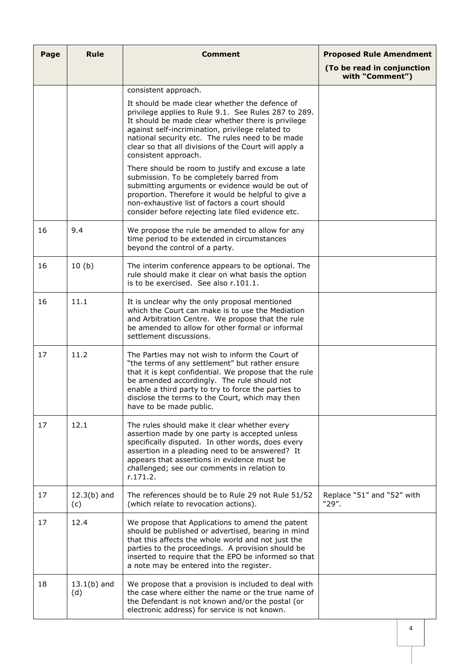| Page | <b>Rule</b>          | <b>Comment</b>                                                                                                                                                                                                                                                                                                                                        | <b>Proposed Rule Amendment</b>                |
|------|----------------------|-------------------------------------------------------------------------------------------------------------------------------------------------------------------------------------------------------------------------------------------------------------------------------------------------------------------------------------------------------|-----------------------------------------------|
|      |                      |                                                                                                                                                                                                                                                                                                                                                       | (To be read in conjunction<br>with "Comment") |
|      |                      | consistent approach.                                                                                                                                                                                                                                                                                                                                  |                                               |
|      |                      | It should be made clear whether the defence of<br>privilege applies to Rule 9.1. See Rules 287 to 289.<br>It should be made clear whether there is privilege<br>against self-incrimination, privilege related to<br>national security etc. The rules need to be made<br>clear so that all divisions of the Court will apply a<br>consistent approach. |                                               |
|      |                      | There should be room to justify and excuse a late<br>submission. To be completely barred from<br>submitting arguments or evidence would be out of<br>proportion. Therefore it would be helpful to give a<br>non-exhaustive list of factors a court should<br>consider before rejecting late filed evidence etc.                                       |                                               |
| 16   | 9.4                  | We propose the rule be amended to allow for any<br>time period to be extended in circumstances<br>beyond the control of a party.                                                                                                                                                                                                                      |                                               |
| 16   | 10(b)                | The interim conference appears to be optional. The<br>rule should make it clear on what basis the option<br>is to be exercised. See also r.101.1.                                                                                                                                                                                                     |                                               |
| 16   | 11.1                 | It is unclear why the only proposal mentioned<br>which the Court can make is to use the Mediation<br>and Arbitration Centre. We propose that the rule<br>be amended to allow for other formal or informal<br>settlement discussions.                                                                                                                  |                                               |
| 17   | 11.2                 | The Parties may not wish to inform the Court of<br>"the terms of any settlement" but rather ensure<br>that it is kept confidential. We propose that the rule<br>be amended accordingly. The rule should not<br>enable a third party to try to force the parties to<br>disclose the terms to the Court, which may then<br>have to be made public.      |                                               |
| 17   | 12.1                 | The rules should make it clear whether every<br>assertion made by one party is accepted unless<br>specifically disputed. In other words, does every<br>assertion in a pleading need to be answered? It<br>appears that assertions in evidence must be<br>challenged; see our comments in relation to<br>r.171.2.                                      |                                               |
| 17   | $12.3(b)$ and<br>(c) | The references should be to Rule 29 not Rule 51/52<br>(which relate to revocation actions).                                                                                                                                                                                                                                                           | Replace "51" and "52" with<br>"29".           |
| 17   | 12.4                 | We propose that Applications to amend the patent<br>should be published or advertised, bearing in mind<br>that this affects the whole world and not just the<br>parties to the proceedings. A provision should be<br>inserted to require that the EPO be informed so that<br>a note may be entered into the register.                                 |                                               |
| 18   | $13.1(b)$ and<br>(d) | We propose that a provision is included to deal with<br>the case where either the name or the true name of<br>the Defendant is not known and/or the postal (or<br>electronic address) for service is not known.                                                                                                                                       |                                               |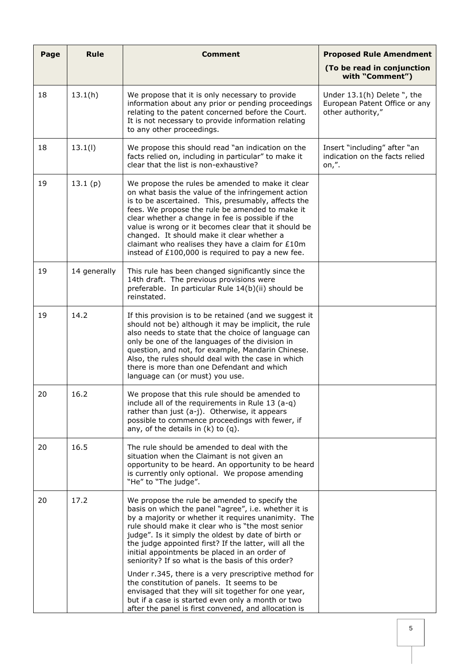| Page | <b>Rule</b>  | <b>Comment</b>                                                                                                                                                                                                                                                                                                                                                                                                                                                                                                                                                                                        | <b>Proposed Rule Amendment</b>                                                    |
|------|--------------|-------------------------------------------------------------------------------------------------------------------------------------------------------------------------------------------------------------------------------------------------------------------------------------------------------------------------------------------------------------------------------------------------------------------------------------------------------------------------------------------------------------------------------------------------------------------------------------------------------|-----------------------------------------------------------------------------------|
|      |              |                                                                                                                                                                                                                                                                                                                                                                                                                                                                                                                                                                                                       | (To be read in conjunction<br>with "Comment")                                     |
| 18   | 13.1(h)      | We propose that it is only necessary to provide<br>information about any prior or pending proceedings<br>relating to the patent concerned before the Court.<br>It is not necessary to provide information relating<br>to any other proceedings.                                                                                                                                                                                                                                                                                                                                                       | Under 13.1(h) Delete ", the<br>European Patent Office or any<br>other authority," |
| 18   | 13.1(l)      | We propose this should read "an indication on the<br>facts relied on, including in particular" to make it<br>clear that the list is non-exhaustive?                                                                                                                                                                                                                                                                                                                                                                                                                                                   | Insert "including" after "an<br>indication on the facts relied<br>on,".           |
| 19   | 13.1(p)      | We propose the rules be amended to make it clear<br>on what basis the value of the infringement action<br>is to be ascertained. This, presumably, affects the<br>fees. We propose the rule be amended to make it<br>clear whether a change in fee is possible if the<br>value is wrong or it becomes clear that it should be<br>changed. It should make it clear whether a<br>claimant who realises they have a claim for £10m<br>instead of £100,000 is required to pay a new fee.                                                                                                                   |                                                                                   |
| 19   | 14 generally | This rule has been changed significantly since the<br>14th draft. The previous provisions were<br>preferable. In particular Rule 14(b)(ii) should be<br>reinstated.                                                                                                                                                                                                                                                                                                                                                                                                                                   |                                                                                   |
| 19   | 14.2         | If this provision is to be retained (and we suggest it<br>should not be) although it may be implicit, the rule<br>also needs to state that the choice of language can<br>only be one of the languages of the division in<br>question, and not, for example, Mandarin Chinese.<br>Also, the rules should deal with the case in which<br>there is more than one Defendant and which<br>language can (or must) you use.                                                                                                                                                                                  |                                                                                   |
| 20   | 16.2         | We propose that this rule should be amended to<br>include all of the requirements in Rule 13 (a-q)<br>rather than just (a-j). Otherwise, it appears<br>possible to commence proceedings with fewer, if<br>any, of the details in $(k)$ to $(q)$ .                                                                                                                                                                                                                                                                                                                                                     |                                                                                   |
| 20   | 16.5         | The rule should be amended to deal with the<br>situation when the Claimant is not given an<br>opportunity to be heard. An opportunity to be heard<br>is currently only optional. We propose amending<br>"He" to "The judge".                                                                                                                                                                                                                                                                                                                                                                          |                                                                                   |
| 20   | 17.2         | We propose the rule be amended to specify the<br>basis on which the panel "agree", i.e. whether it is<br>by a majority or whether it requires unanimity. The<br>rule should make it clear who is "the most senior<br>judge". Is it simply the oldest by date of birth or<br>the judge appointed first? If the latter, will all the<br>initial appointments be placed in an order of<br>seniority? If so what is the basis of this order?<br>Under r.345, there is a very prescriptive method for<br>the constitution of panels. It seems to be<br>envisaged that they will sit together for one year, |                                                                                   |
|      |              | but if a case is started even only a month or two<br>after the panel is first convened, and allocation is                                                                                                                                                                                                                                                                                                                                                                                                                                                                                             |                                                                                   |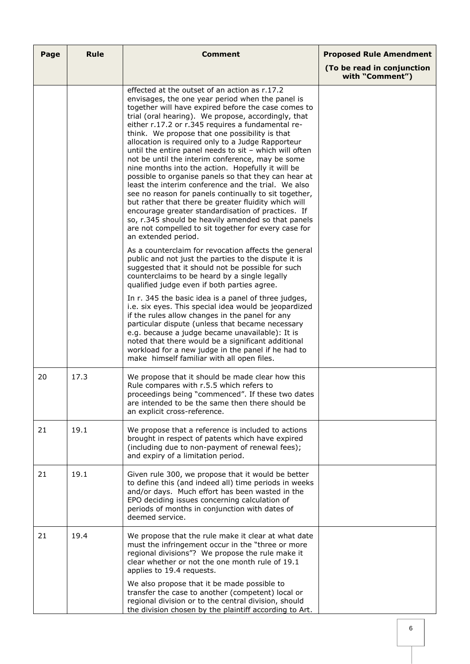| Page | <b>Rule</b> | <b>Comment</b>                                                                                                                                                                                                                                                                                                                                                                                                                                                                                                                                                                                                                                                                                                                                                                                                                                                                                                                                                            | <b>Proposed Rule Amendment</b>                |
|------|-------------|---------------------------------------------------------------------------------------------------------------------------------------------------------------------------------------------------------------------------------------------------------------------------------------------------------------------------------------------------------------------------------------------------------------------------------------------------------------------------------------------------------------------------------------------------------------------------------------------------------------------------------------------------------------------------------------------------------------------------------------------------------------------------------------------------------------------------------------------------------------------------------------------------------------------------------------------------------------------------|-----------------------------------------------|
|      |             |                                                                                                                                                                                                                                                                                                                                                                                                                                                                                                                                                                                                                                                                                                                                                                                                                                                                                                                                                                           | (To be read in conjunction<br>with "Comment") |
|      |             | effected at the outset of an action as r.17.2<br>envisages, the one year period when the panel is<br>together will have expired before the case comes to<br>trial (oral hearing). We propose, accordingly, that<br>either r.17.2 or r.345 requires a fundamental re-<br>think. We propose that one possibility is that<br>allocation is required only to a Judge Rapporteur<br>until the entire panel needs to sit - which will often<br>not be until the interim conference, may be some<br>nine months into the action. Hopefully it will be<br>possible to organise panels so that they can hear at<br>least the interim conference and the trial. We also<br>see no reason for panels continually to sit together,<br>but rather that there be greater fluidity which will<br>encourage greater standardisation of practices. If<br>so, r.345 should be heavily amended so that panels<br>are not compelled to sit together for every case for<br>an extended period. |                                               |
|      |             | As a counterclaim for revocation affects the general<br>public and not just the parties to the dispute it is<br>suggested that it should not be possible for such<br>counterclaims to be heard by a single legally<br>qualified judge even if both parties agree.                                                                                                                                                                                                                                                                                                                                                                                                                                                                                                                                                                                                                                                                                                         |                                               |
|      |             | In r. 345 the basic idea is a panel of three judges,<br>i.e. six eyes. This special idea would be jeopardized<br>if the rules allow changes in the panel for any<br>particular dispute (unless that became necessary<br>e.g. because a judge became unavailable): It is<br>noted that there would be a significant additional<br>workload for a new judge in the panel if he had to<br>make himself familiar with all open files.                                                                                                                                                                                                                                                                                                                                                                                                                                                                                                                                         |                                               |
| 20   | 17.3        | We propose that it should be made clear how this<br>Rule compares with r.5.5 which refers to<br>proceedings being "commenced". If these two dates<br>are intended to be the same then there should be<br>an explicit cross-reference.                                                                                                                                                                                                                                                                                                                                                                                                                                                                                                                                                                                                                                                                                                                                     |                                               |
| 21   | 19.1        | We propose that a reference is included to actions<br>brought in respect of patents which have expired<br>(including due to non-payment of renewal fees);<br>and expiry of a limitation period.                                                                                                                                                                                                                                                                                                                                                                                                                                                                                                                                                                                                                                                                                                                                                                           |                                               |
| 21   | 19.1        | Given rule 300, we propose that it would be better<br>to define this (and indeed all) time periods in weeks<br>and/or days. Much effort has been wasted in the<br>EPO deciding issues concerning calculation of<br>periods of months in conjunction with dates of<br>deemed service.                                                                                                                                                                                                                                                                                                                                                                                                                                                                                                                                                                                                                                                                                      |                                               |
| 21   | 19.4        | We propose that the rule make it clear at what date<br>must the infringement occur in the "three or more<br>regional divisions"? We propose the rule make it<br>clear whether or not the one month rule of 19.1<br>applies to 19.4 requests.<br>We also propose that it be made possible to<br>transfer the case to another (competent) local or                                                                                                                                                                                                                                                                                                                                                                                                                                                                                                                                                                                                                          |                                               |
|      |             | regional division or to the central division, should<br>the division chosen by the plaintiff according to Art.                                                                                                                                                                                                                                                                                                                                                                                                                                                                                                                                                                                                                                                                                                                                                                                                                                                            |                                               |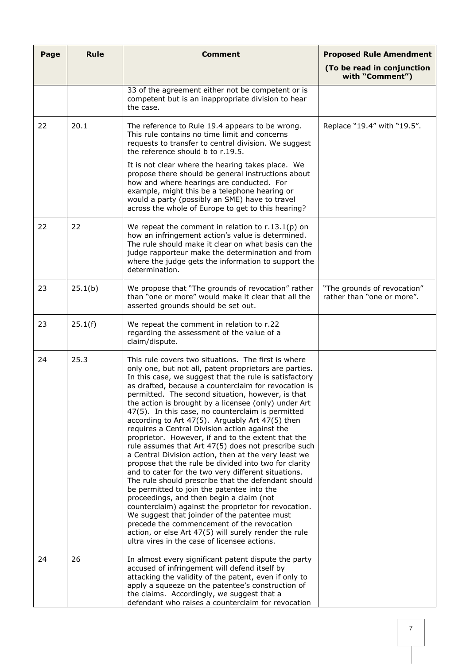| Page | <b>Rule</b> | <b>Comment</b>                                                                                                                                                                                                                                                                                                                                                                                                                                                                                                                                                                                                                                                                                                                                                                                                                                                                                                                                                                                                                                                                                                                                                                                              | <b>Proposed Rule Amendment</b>                            |
|------|-------------|-------------------------------------------------------------------------------------------------------------------------------------------------------------------------------------------------------------------------------------------------------------------------------------------------------------------------------------------------------------------------------------------------------------------------------------------------------------------------------------------------------------------------------------------------------------------------------------------------------------------------------------------------------------------------------------------------------------------------------------------------------------------------------------------------------------------------------------------------------------------------------------------------------------------------------------------------------------------------------------------------------------------------------------------------------------------------------------------------------------------------------------------------------------------------------------------------------------|-----------------------------------------------------------|
|      |             |                                                                                                                                                                                                                                                                                                                                                                                                                                                                                                                                                                                                                                                                                                                                                                                                                                                                                                                                                                                                                                                                                                                                                                                                             | (To be read in conjunction<br>with "Comment")             |
|      |             | 33 of the agreement either not be competent or is<br>competent but is an inappropriate division to hear<br>the case.                                                                                                                                                                                                                                                                                                                                                                                                                                                                                                                                                                                                                                                                                                                                                                                                                                                                                                                                                                                                                                                                                        |                                                           |
| 22   | 20.1        | The reference to Rule 19.4 appears to be wrong.<br>This rule contains no time limit and concerns<br>requests to transfer to central division. We suggest<br>the reference should b to r.19.5.<br>It is not clear where the hearing takes place. We<br>propose there should be general instructions about<br>how and where hearings are conducted. For<br>example, might this be a telephone hearing or<br>would a party (possibly an SME) have to travel<br>across the whole of Europe to get to this hearing?                                                                                                                                                                                                                                                                                                                                                                                                                                                                                                                                                                                                                                                                                              | Replace "19.4" with "19.5".                               |
| 22   | 22          | We repeat the comment in relation to $r.13.1(p)$ on<br>how an infringement action's value is determined.<br>The rule should make it clear on what basis can the<br>judge rapporteur make the determination and from<br>where the judge gets the information to support the<br>determination.                                                                                                                                                                                                                                                                                                                                                                                                                                                                                                                                                                                                                                                                                                                                                                                                                                                                                                                |                                                           |
| 23   | 25.1(b)     | We propose that "The grounds of revocation" rather<br>than "one or more" would make it clear that all the<br>asserted grounds should be set out.                                                                                                                                                                                                                                                                                                                                                                                                                                                                                                                                                                                                                                                                                                                                                                                                                                                                                                                                                                                                                                                            | "The grounds of revocation"<br>rather than "one or more". |
| 23   | 25.1(f)     | We repeat the comment in relation to r.22<br>regarding the assessment of the value of a<br>claim/dispute.                                                                                                                                                                                                                                                                                                                                                                                                                                                                                                                                                                                                                                                                                                                                                                                                                                                                                                                                                                                                                                                                                                   |                                                           |
| 24   | 25.3        | This rule covers two situations. The first is where<br>only one, but not all, patent proprietors are parties.<br>In this case, we suggest that the rule is satisfactory<br>as drafted, because a counterclaim for revocation is<br>permitted. The second situation, however, is that<br>the action is brought by a licensee (only) under Art<br>47(5). In this case, no counterclaim is permitted<br>according to Art 47(5). Arguably Art 47(5) then<br>requires a Central Division action against the<br>proprietor. However, if and to the extent that the<br>rule assumes that Art 47(5) does not prescribe such<br>a Central Division action, then at the very least we<br>propose that the rule be divided into two for clarity<br>and to cater for the two very different situations.<br>The rule should prescribe that the defendant should<br>be permitted to join the patentee into the<br>proceedings, and then begin a claim (not<br>counterclaim) against the proprietor for revocation.<br>We suggest that joinder of the patentee must<br>precede the commencement of the revocation<br>action, or else Art 47(5) will surely render the rule<br>ultra vires in the case of licensee actions. |                                                           |
| 24   | 26          | In almost every significant patent dispute the party<br>accused of infringement will defend itself by<br>attacking the validity of the patent, even if only to<br>apply a squeeze on the patentee's construction of<br>the claims. Accordingly, we suggest that a<br>defendant who raises a counterclaim for revocation                                                                                                                                                                                                                                                                                                                                                                                                                                                                                                                                                                                                                                                                                                                                                                                                                                                                                     |                                                           |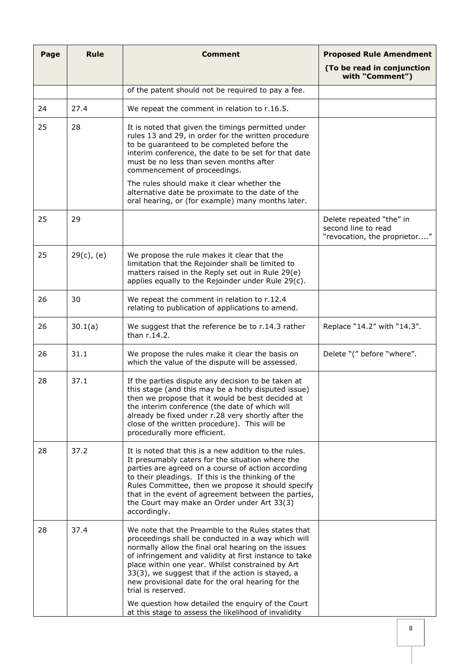| Page | <b>Rule</b>   | <b>Comment</b>                                                                                                                                                                                                                                                                                                                                                                                                                                                                                                             | <b>Proposed Rule Amendment</b>                                                  |
|------|---------------|----------------------------------------------------------------------------------------------------------------------------------------------------------------------------------------------------------------------------------------------------------------------------------------------------------------------------------------------------------------------------------------------------------------------------------------------------------------------------------------------------------------------------|---------------------------------------------------------------------------------|
|      |               |                                                                                                                                                                                                                                                                                                                                                                                                                                                                                                                            | (To be read in conjunction<br>with "Comment")                                   |
|      |               | of the patent should not be required to pay a fee.                                                                                                                                                                                                                                                                                                                                                                                                                                                                         |                                                                                 |
| 24   | 27.4          | We repeat the comment in relation to r.16.5.                                                                                                                                                                                                                                                                                                                                                                                                                                                                               |                                                                                 |
| 25   | 28            | It is noted that given the timings permitted under<br>rules 13 and 29, in order for the written procedure<br>to be guaranteed to be completed before the<br>interim conference, the date to be set for that date<br>must be no less than seven months after<br>commencement of proceedings.                                                                                                                                                                                                                                |                                                                                 |
|      |               | The rules should make it clear whether the<br>alternative date be proximate to the date of the<br>oral hearing, or (for example) many months later.                                                                                                                                                                                                                                                                                                                                                                        |                                                                                 |
| 25   | 29            |                                                                                                                                                                                                                                                                                                                                                                                                                                                                                                                            | Delete repeated "the" in<br>second line to read<br>"revocation, the proprietor" |
| 25   | $29(c)$ , (e) | We propose the rule makes it clear that the<br>limitation that the Rejoinder shall be limited to<br>matters raised in the Reply set out in Rule 29(e)<br>applies equally to the Rejoinder under Rule 29(c).                                                                                                                                                                                                                                                                                                                |                                                                                 |
| 26   | 30            | We repeat the comment in relation to r.12.4<br>relating to publication of applications to amend.                                                                                                                                                                                                                                                                                                                                                                                                                           |                                                                                 |
| 26   | 30.1(a)       | We suggest that the reference be to r.14.3 rather<br>than r.14.2.                                                                                                                                                                                                                                                                                                                                                                                                                                                          | Replace "14.2" with "14.3".                                                     |
| 26   | 31.1          | We propose the rules make it clear the basis on<br>which the value of the dispute will be assessed.                                                                                                                                                                                                                                                                                                                                                                                                                        | Delete "(" before "where".                                                      |
| 28   | 37.1          | If the parties dispute any decision to be taken at<br>this stage (and this may be a hotly disputed issue)<br>then we propose that it would be best decided at<br>the interim conference (the date of which will<br>already be fixed under r.28 very shortly after the<br>close of the written procedure). This will be<br>procedurally more efficient.                                                                                                                                                                     |                                                                                 |
| 28   | 37.2          | It is noted that this is a new addition to the rules.<br>It presumably caters for the situation where the<br>parties are agreed on a course of action according<br>to their pleadings. If this is the thinking of the<br>Rules Committee, then we propose it should specify<br>that in the event of agreement between the parties,<br>the Court may make an Order under Art 33(3)<br>accordingly.                                                                                                                          |                                                                                 |
| 28   | 37.4          | We note that the Preamble to the Rules states that<br>proceedings shall be conducted in a way which will<br>normally allow the final oral hearing on the issues<br>of infringement and validity at first instance to take<br>place within one year. Whilst constrained by Art<br>33(3), we suggest that if the action is stayed, a<br>new provisional date for the oral hearing for the<br>trial is reserved.<br>We question how detailed the enquiry of the Court<br>at this stage to assess the likelihood of invalidity |                                                                                 |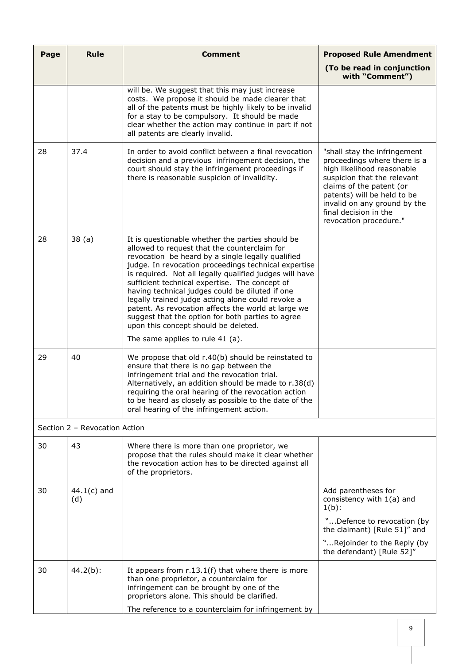| Page | <b>Rule</b>                   | <b>Comment</b>                                                                                                                                                                                                                                                                                                                                                                                                                                                                                                                                                                                                               | <b>Proposed Rule Amendment</b>                                                                                                                                                                                                                                          |
|------|-------------------------------|------------------------------------------------------------------------------------------------------------------------------------------------------------------------------------------------------------------------------------------------------------------------------------------------------------------------------------------------------------------------------------------------------------------------------------------------------------------------------------------------------------------------------------------------------------------------------------------------------------------------------|-------------------------------------------------------------------------------------------------------------------------------------------------------------------------------------------------------------------------------------------------------------------------|
|      |                               |                                                                                                                                                                                                                                                                                                                                                                                                                                                                                                                                                                                                                              | (To be read in conjunction<br>with "Comment")                                                                                                                                                                                                                           |
|      |                               | will be. We suggest that this may just increase<br>costs. We propose it should be made clearer that<br>all of the patents must be highly likely to be invalid<br>for a stay to be compulsory. It should be made<br>clear whether the action may continue in part if not<br>all patents are clearly invalid.                                                                                                                                                                                                                                                                                                                  |                                                                                                                                                                                                                                                                         |
| 28   | 37.4                          | In order to avoid conflict between a final revocation<br>decision and a previous infringement decision, the<br>court should stay the infringement proceedings if<br>there is reasonable suspicion of invalidity.                                                                                                                                                                                                                                                                                                                                                                                                             | "shall stay the infringement<br>proceedings where there is a<br>high likelihood reasonable<br>suspicion that the relevant<br>claims of the patent (or<br>patents) will be held to be<br>invalid on any ground by the<br>final decision in the<br>revocation procedure." |
| 28   | 38(a)                         | It is questionable whether the parties should be<br>allowed to request that the counterclaim for<br>revocation be heard by a single legally qualified<br>judge. In revocation proceedings technical expertise<br>is required. Not all legally qualified judges will have<br>sufficient technical expertise. The concept of<br>having technical judges could be diluted if one<br>legally trained judge acting alone could revoke a<br>patent. As revocation affects the world at large we<br>suggest that the option for both parties to agree<br>upon this concept should be deleted.<br>The same applies to rule $41$ (a). |                                                                                                                                                                                                                                                                         |
| 29   | 40                            | We propose that old r.40(b) should be reinstated to<br>ensure that there is no gap between the<br>infringement trial and the revocation trial.<br>Alternatively, an addition should be made to r.38(d)<br>requiring the oral hearing of the revocation action<br>to be heard as closely as possible to the date of the<br>oral hearing of the infringement action.                                                                                                                                                                                                                                                           |                                                                                                                                                                                                                                                                         |
|      | Section 2 - Revocation Action |                                                                                                                                                                                                                                                                                                                                                                                                                                                                                                                                                                                                                              |                                                                                                                                                                                                                                                                         |
| 30   | 43                            | Where there is more than one proprietor, we<br>propose that the rules should make it clear whether<br>the revocation action has to be directed against all<br>of the proprietors.                                                                                                                                                                                                                                                                                                                                                                                                                                            |                                                                                                                                                                                                                                                                         |
| 30   | $44.1(c)$ and<br>(d)          |                                                                                                                                                                                                                                                                                                                                                                                                                                                                                                                                                                                                                              | Add parentheses for<br>consistency with 1(a) and<br>$1(b)$ :                                                                                                                                                                                                            |
|      |                               |                                                                                                                                                                                                                                                                                                                                                                                                                                                                                                                                                                                                                              | "Defence to revocation (by<br>the claimant) [Rule 51]" and                                                                                                                                                                                                              |
|      |                               |                                                                                                                                                                                                                                                                                                                                                                                                                                                                                                                                                                                                                              | "Rejoinder to the Reply (by<br>the defendant) [Rule 52]"                                                                                                                                                                                                                |
| 30   | $44.2(b)$ :                   | It appears from $r.13.1(f)$ that where there is more<br>than one proprietor, a counterclaim for<br>infringement can be brought by one of the<br>proprietors alone. This should be clarified.                                                                                                                                                                                                                                                                                                                                                                                                                                 |                                                                                                                                                                                                                                                                         |
|      |                               | The reference to a counterclaim for infringement by                                                                                                                                                                                                                                                                                                                                                                                                                                                                                                                                                                          |                                                                                                                                                                                                                                                                         |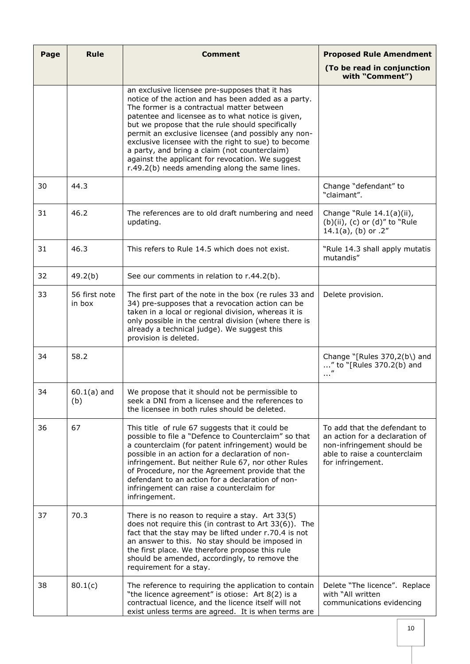| Page | <b>Rule</b>             | <b>Comment</b>                                                                                                                                                                                                                                                                                                                                                                                                                                                                                                                    | <b>Proposed Rule Amendment</b>                                                                                                                    |
|------|-------------------------|-----------------------------------------------------------------------------------------------------------------------------------------------------------------------------------------------------------------------------------------------------------------------------------------------------------------------------------------------------------------------------------------------------------------------------------------------------------------------------------------------------------------------------------|---------------------------------------------------------------------------------------------------------------------------------------------------|
|      |                         |                                                                                                                                                                                                                                                                                                                                                                                                                                                                                                                                   | (To be read in conjunction<br>with "Comment")                                                                                                     |
|      |                         | an exclusive licensee pre-supposes that it has<br>notice of the action and has been added as a party.<br>The former is a contractual matter between<br>patentee and licensee as to what notice is given,<br>but we propose that the rule should specifically<br>permit an exclusive licensee (and possibly any non-<br>exclusive licensee with the right to sue) to become<br>a party, and bring a claim (not counterclaim)<br>against the applicant for revocation. We suggest<br>r.49.2(b) needs amending along the same lines. |                                                                                                                                                   |
| 30   | 44.3                    |                                                                                                                                                                                                                                                                                                                                                                                                                                                                                                                                   | Change "defendant" to<br>"claimant".                                                                                                              |
| 31   | 46.2                    | The references are to old draft numbering and need<br>updating.                                                                                                                                                                                                                                                                                                                                                                                                                                                                   | Change "Rule 14.1(a)(ii),<br>(b)(ii), (c) or (d)" to "Rule<br>14.1(a), (b) or $.2"$                                                               |
| 31   | 46.3                    | This refers to Rule 14.5 which does not exist.                                                                                                                                                                                                                                                                                                                                                                                                                                                                                    | "Rule 14.3 shall apply mutatis<br>mutandis"                                                                                                       |
| 32   | 49.2(b)                 | See our comments in relation to r.44.2(b).                                                                                                                                                                                                                                                                                                                                                                                                                                                                                        |                                                                                                                                                   |
| 33   | 56 first note<br>in box | The first part of the note in the box (re rules 33 and<br>34) pre-supposes that a revocation action can be<br>taken in a local or regional division, whereas it is<br>only possible in the central division (where there is<br>already a technical judge). We suggest this<br>provision is deleted.                                                                                                                                                                                                                               | Delete provision.                                                                                                                                 |
| 34   | 58.2                    |                                                                                                                                                                                                                                                                                                                                                                                                                                                                                                                                   | Change "[Rules $370,2(b)$ ] and<br>" to "[Rules 370.2(b) and<br>$\ldots''$                                                                        |
| 34   | $60.1(a)$ and<br>(b)    | We propose that it should not be permissible to<br>seek a DNI from a licensee and the references to<br>the licensee in both rules should be deleted.                                                                                                                                                                                                                                                                                                                                                                              |                                                                                                                                                   |
| 36   | 67                      | This title of rule 67 suggests that it could be<br>possible to file a "Defence to Counterclaim" so that<br>a counterclaim (for patent infringement) would be<br>possible in an action for a declaration of non-<br>infringement. But neither Rule 67, nor other Rules<br>of Procedure, nor the Agreement provide that the<br>defendant to an action for a declaration of non-<br>infringement can raise a counterclaim for<br>infringement.                                                                                       | To add that the defendant to<br>an action for a declaration of<br>non-infringement should be<br>able to raise a counterclaim<br>for infringement. |
| 37   | 70.3                    | There is no reason to require a stay. Art $33(5)$<br>does not require this (in contrast to Art 33(6)). The<br>fact that the stay may be lifted under r.70.4 is not<br>an answer to this. No stay should be imposed in<br>the first place. We therefore propose this rule<br>should be amended, accordingly, to remove the<br>requirement for a stay.                                                                                                                                                                              |                                                                                                                                                   |
| 38   | 80.1(c)                 | The reference to requiring the application to contain<br>"the licence agreement" is otiose: Art 8(2) is a<br>contractual licence, and the licence itself will not<br>exist unless terms are agreed. It is when terms are                                                                                                                                                                                                                                                                                                          | Delete "The licence". Replace<br>with "All written<br>communications evidencing                                                                   |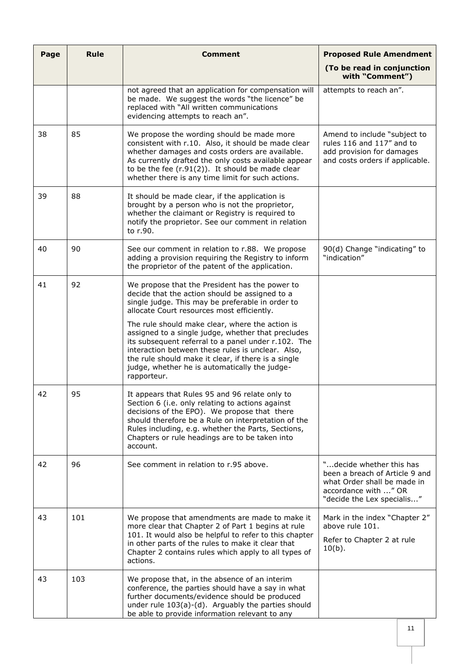| Page | <b>Rule</b> | <b>Comment</b>                                                                                                                                                                                                                                                                                                                           | <b>Proposed Rule Amendment</b>                                                                                                                  |
|------|-------------|------------------------------------------------------------------------------------------------------------------------------------------------------------------------------------------------------------------------------------------------------------------------------------------------------------------------------------------|-------------------------------------------------------------------------------------------------------------------------------------------------|
|      |             |                                                                                                                                                                                                                                                                                                                                          | (To be read in conjunction<br>with "Comment")                                                                                                   |
|      |             | not agreed that an application for compensation will<br>be made. We suggest the words "the licence" be<br>replaced with "All written communications<br>evidencing attempts to reach an".                                                                                                                                                 | attempts to reach an".                                                                                                                          |
| 38   | 85          | We propose the wording should be made more<br>consistent with r.10. Also, it should be made clear<br>whether damages and costs orders are available.<br>As currently drafted the only costs available appear<br>to be the fee $(r.91(2))$ . It should be made clear<br>whether there is any time limit for such actions.                 | Amend to include "subject to<br>rules 116 and 117" and to<br>add provision for damages<br>and costs orders if applicable.                       |
| 39   | 88          | It should be made clear, if the application is<br>brought by a person who is not the proprietor,<br>whether the claimant or Registry is required to<br>notify the proprietor. See our comment in relation<br>to r.90.                                                                                                                    |                                                                                                                                                 |
| 40   | 90          | See our comment in relation to r.88. We propose<br>adding a provision requiring the Registry to inform<br>the proprietor of the patent of the application.                                                                                                                                                                               | 90(d) Change "indicating" to<br>"indication"                                                                                                    |
| 41   | 92          | We propose that the President has the power to<br>decide that the action should be assigned to a<br>single judge. This may be preferable in order to<br>allocate Court resources most efficiently.                                                                                                                                       |                                                                                                                                                 |
|      |             | The rule should make clear, where the action is<br>assigned to a single judge, whether that precludes<br>its subsequent referral to a panel under r.102. The<br>interaction between these rules is unclear. Also,<br>the rule should make it clear, if there is a single<br>judge, whether he is automatically the judge-<br>rapporteur. |                                                                                                                                                 |
| 42   | 95          | It appears that Rules 95 and 96 relate only to<br>Section 6 (i.e. only relating to actions against<br>decisions of the EPO). We propose that there<br>should therefore be a Rule on interpretation of the<br>Rules including, e.g. whether the Parts, Sections,<br>Chapters or rule headings are to be taken into<br>account.            |                                                                                                                                                 |
| 42   | 96          | See comment in relation to r.95 above.                                                                                                                                                                                                                                                                                                   | "decide whether this has<br>been a breach of Article 9 and<br>what Order shall be made in<br>accordance with " OR<br>"decide the Lex specialis" |
| 43   | 101         | We propose that amendments are made to make it<br>more clear that Chapter 2 of Part 1 begins at rule<br>101. It would also be helpful to refer to this chapter<br>in other parts of the rules to make it clear that<br>Chapter 2 contains rules which apply to all types of<br>actions.                                                  | Mark in the index "Chapter 2"<br>above rule 101.<br>Refer to Chapter 2 at rule<br>$10(b)$ .                                                     |
| 43   | 103         | We propose that, in the absence of an interim<br>conference, the parties should have a say in what<br>further documents/evidence should be produced<br>under rule 103(a)-(d). Arguably the parties should<br>be able to provide information relevant to any                                                                              |                                                                                                                                                 |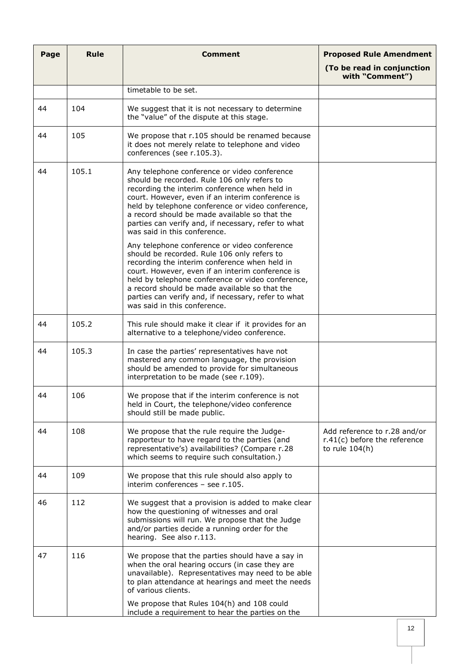| Page | <b>Rule</b> | <b>Comment</b>                                                                                                                                                                                                                                                                                                                                                                                                                                                                                                                                                                                                                                         | <b>Proposed Rule Amendment</b>                                                     |
|------|-------------|--------------------------------------------------------------------------------------------------------------------------------------------------------------------------------------------------------------------------------------------------------------------------------------------------------------------------------------------------------------------------------------------------------------------------------------------------------------------------------------------------------------------------------------------------------------------------------------------------------------------------------------------------------|------------------------------------------------------------------------------------|
|      |             |                                                                                                                                                                                                                                                                                                                                                                                                                                                                                                                                                                                                                                                        | (To be read in conjunction<br>with "Comment")                                      |
|      |             | timetable to be set.                                                                                                                                                                                                                                                                                                                                                                                                                                                                                                                                                                                                                                   |                                                                                    |
| 44   | 104         | We suggest that it is not necessary to determine<br>the "value" of the dispute at this stage.                                                                                                                                                                                                                                                                                                                                                                                                                                                                                                                                                          |                                                                                    |
| 44   | 105         | We propose that r.105 should be renamed because<br>it does not merely relate to telephone and video<br>conferences (see r.105.3).                                                                                                                                                                                                                                                                                                                                                                                                                                                                                                                      |                                                                                    |
| 44   | 105.1       | Any telephone conference or video conference<br>should be recorded. Rule 106 only refers to<br>recording the interim conference when held in<br>court. However, even if an interim conference is<br>held by telephone conference or video conference,<br>a record should be made available so that the<br>parties can verify and, if necessary, refer to what<br>was said in this conference.<br>Any telephone conference or video conference<br>should be recorded. Rule 106 only refers to<br>recording the interim conference when held in<br>court. However, even if an interim conference is<br>held by telephone conference or video conference, |                                                                                    |
|      |             | a record should be made available so that the<br>parties can verify and, if necessary, refer to what<br>was said in this conference.                                                                                                                                                                                                                                                                                                                                                                                                                                                                                                                   |                                                                                    |
| 44   | 105.2       | This rule should make it clear if it provides for an<br>alternative to a telephone/video conference.                                                                                                                                                                                                                                                                                                                                                                                                                                                                                                                                                   |                                                                                    |
| 44   | 105.3       | In case the parties' representatives have not<br>mastered any common language, the provision<br>should be amended to provide for simultaneous<br>interpretation to be made (see r.109).                                                                                                                                                                                                                                                                                                                                                                                                                                                                |                                                                                    |
| 44   | 106         | We propose that if the interim conference is not<br>held in Court, the telephone/video conference<br>should still be made public.                                                                                                                                                                                                                                                                                                                                                                                                                                                                                                                      |                                                                                    |
| 44   | 108         | We propose that the rule require the Judge-<br>rapporteur to have regard to the parties (and<br>representative's) availabilities? (Compare r.28<br>which seems to require such consultation.)                                                                                                                                                                                                                                                                                                                                                                                                                                                          | Add reference to r.28 and/or<br>$r.41(c)$ before the reference<br>to rule $104(h)$ |
| 44   | 109         | We propose that this rule should also apply to<br>interim conferences - see r.105.                                                                                                                                                                                                                                                                                                                                                                                                                                                                                                                                                                     |                                                                                    |
| 46   | 112         | We suggest that a provision is added to make clear<br>how the questioning of witnesses and oral<br>submissions will run. We propose that the Judge<br>and/or parties decide a running order for the<br>hearing. See also r.113.                                                                                                                                                                                                                                                                                                                                                                                                                        |                                                                                    |
| 47   | 116         | We propose that the parties should have a say in<br>when the oral hearing occurs (in case they are<br>unavailable). Representatives may need to be able<br>to plan attendance at hearings and meet the needs<br>of various clients.<br>We propose that Rules 104(h) and 108 could                                                                                                                                                                                                                                                                                                                                                                      |                                                                                    |
|      |             | include a requirement to hear the parties on the                                                                                                                                                                                                                                                                                                                                                                                                                                                                                                                                                                                                       |                                                                                    |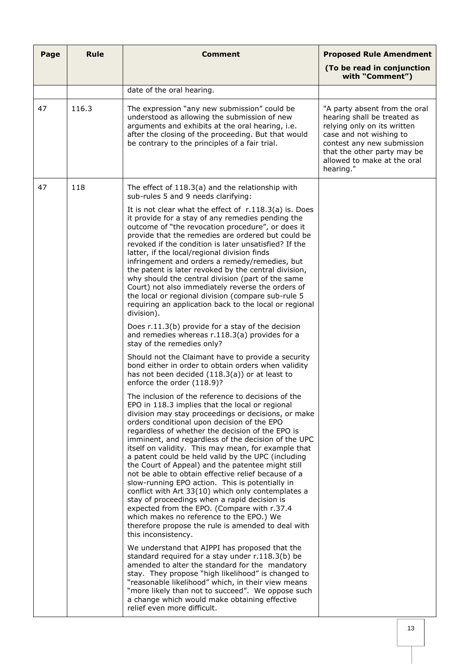| Page | <b>Rule</b> | <b>Comment</b>                                                                                                                                                                                                                                                                                                                                                                                                                                                                                                                                                                                                                                                                                                                                                                                                                                                                                                                                                                                                                                                                                                                                                                                                                                                                                                                                                                                                                                                                                                                                                                                                                                                                                                                                                                                                                                                                                                                                                                                                                                                     | <b>Proposed Rule Amendment</b>                                                                                                                                                                                                  |
|------|-------------|--------------------------------------------------------------------------------------------------------------------------------------------------------------------------------------------------------------------------------------------------------------------------------------------------------------------------------------------------------------------------------------------------------------------------------------------------------------------------------------------------------------------------------------------------------------------------------------------------------------------------------------------------------------------------------------------------------------------------------------------------------------------------------------------------------------------------------------------------------------------------------------------------------------------------------------------------------------------------------------------------------------------------------------------------------------------------------------------------------------------------------------------------------------------------------------------------------------------------------------------------------------------------------------------------------------------------------------------------------------------------------------------------------------------------------------------------------------------------------------------------------------------------------------------------------------------------------------------------------------------------------------------------------------------------------------------------------------------------------------------------------------------------------------------------------------------------------------------------------------------------------------------------------------------------------------------------------------------------------------------------------------------------------------------------------------------|---------------------------------------------------------------------------------------------------------------------------------------------------------------------------------------------------------------------------------|
|      |             |                                                                                                                                                                                                                                                                                                                                                                                                                                                                                                                                                                                                                                                                                                                                                                                                                                                                                                                                                                                                                                                                                                                                                                                                                                                                                                                                                                                                                                                                                                                                                                                                                                                                                                                                                                                                                                                                                                                                                                                                                                                                    | (To be read in conjunction<br>with "Comment")                                                                                                                                                                                   |
|      |             | date of the oral hearing.                                                                                                                                                                                                                                                                                                                                                                                                                                                                                                                                                                                                                                                                                                                                                                                                                                                                                                                                                                                                                                                                                                                                                                                                                                                                                                                                                                                                                                                                                                                                                                                                                                                                                                                                                                                                                                                                                                                                                                                                                                          |                                                                                                                                                                                                                                 |
| 47   | 116.3       | The expression "any new submission" could be<br>understood as allowing the submission of new<br>arguments and exhibits at the oral hearing, i.e.<br>after the closing of the proceeding. But that would<br>be contrary to the principles of a fair trial.                                                                                                                                                                                                                                                                                                                                                                                                                                                                                                                                                                                                                                                                                                                                                                                                                                                                                                                                                                                                                                                                                                                                                                                                                                                                                                                                                                                                                                                                                                                                                                                                                                                                                                                                                                                                          | "A party absent from the oral<br>hearing shall be treated as<br>relying only on its written<br>case and not wishing to<br>contest any new submission<br>that the other party may be<br>allowed to make at the oral<br>hearing." |
| 47   | 118         | The effect of $118.3(a)$ and the relationship with<br>sub-rules 5 and 9 needs clarifying:                                                                                                                                                                                                                                                                                                                                                                                                                                                                                                                                                                                                                                                                                                                                                                                                                                                                                                                                                                                                                                                                                                                                                                                                                                                                                                                                                                                                                                                                                                                                                                                                                                                                                                                                                                                                                                                                                                                                                                          |                                                                                                                                                                                                                                 |
|      |             | It is not clear what the effect of $r.118.3(a)$ is. Does<br>it provide for a stay of any remedies pending the<br>outcome of "the revocation procedure", or does it<br>provide that the remedies are ordered but could be<br>revoked if the condition is later unsatisfied? If the<br>latter, if the local/regional division finds<br>infringement and orders a remedy/remedies, but<br>the patent is later revoked by the central division,<br>why should the central division (part of the same<br>Court) not also immediately reverse the orders of<br>the local or regional division (compare sub-rule 5<br>requiring an application back to the local or regional<br>division).<br>Does r.11.3(b) provide for a stay of the decision<br>and remedies whereas r.118.3(a) provides for a<br>stay of the remedies only?<br>Should not the Claimant have to provide a security<br>bond either in order to obtain orders when validity<br>has not been decided (118.3(a)) or at least to<br>enforce the order (118.9)?<br>The inclusion of the reference to decisions of the<br>EPO in 118.3 implies that the local or regional<br>division may stay proceedings or decisions, or make<br>orders conditional upon decision of the EPO<br>regardless of whether the decision of the EPO is<br>imminent, and regardless of the decision of the UPC<br>itself on validity. This may mean, for example that<br>a patent could be held valid by the UPC (including<br>the Court of Appeal) and the patentee might still<br>not be able to obtain effective relief because of a<br>slow-running EPO action. This is potentially in<br>conflict with Art 33(10) which only contemplates a<br>stay of proceedings when a rapid decision is<br>expected from the EPO. (Compare with r.37.4<br>which makes no reference to the EPO.) We<br>therefore propose the rule is amended to deal with<br>this inconsistency.<br>We understand that AIPPI has proposed that the<br>standard required for a stay under r.118.3(b) be<br>amended to alter the standard for the mandatory |                                                                                                                                                                                                                                 |
|      |             | stay. They propose "high likelihood" is changed to<br>"reasonable likelihood" which, in their view means<br>"more likely than not to succeed". We oppose such<br>a change which would make obtaining effective<br>relief even more difficult.                                                                                                                                                                                                                                                                                                                                                                                                                                                                                                                                                                                                                                                                                                                                                                                                                                                                                                                                                                                                                                                                                                                                                                                                                                                                                                                                                                                                                                                                                                                                                                                                                                                                                                                                                                                                                      |                                                                                                                                                                                                                                 |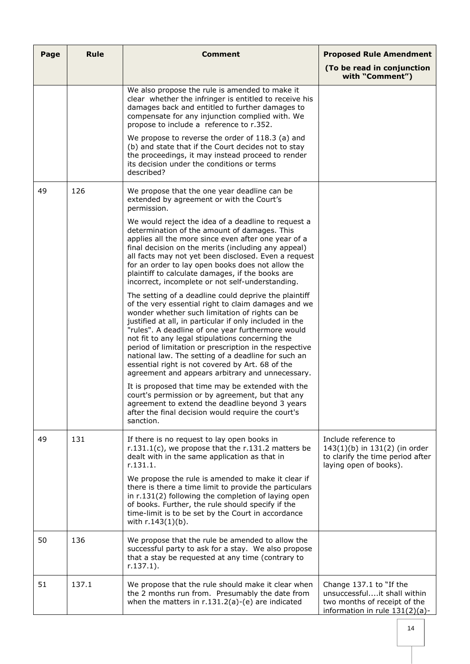| Page | <b>Rule</b> | Comment                                                                                                                                                                                                                                                                                                                                                                                                                                                                                                                                                      | <b>Proposed Rule Amendment</b>                                                                                           |
|------|-------------|--------------------------------------------------------------------------------------------------------------------------------------------------------------------------------------------------------------------------------------------------------------------------------------------------------------------------------------------------------------------------------------------------------------------------------------------------------------------------------------------------------------------------------------------------------------|--------------------------------------------------------------------------------------------------------------------------|
|      |             |                                                                                                                                                                                                                                                                                                                                                                                                                                                                                                                                                              | (To be read in conjunction<br>with "Comment")                                                                            |
|      |             | We also propose the rule is amended to make it<br>clear whether the infringer is entitled to receive his<br>damages back and entitled to further damages to<br>compensate for any injunction complied with. We<br>propose to include a reference to r.352.                                                                                                                                                                                                                                                                                                   |                                                                                                                          |
|      |             | We propose to reverse the order of 118.3 (a) and<br>(b) and state that if the Court decides not to stay<br>the proceedings, it may instead proceed to render<br>its decision under the conditions or terms<br>described?                                                                                                                                                                                                                                                                                                                                     |                                                                                                                          |
| 49   | 126         | We propose that the one year deadline can be<br>extended by agreement or with the Court's<br>permission.                                                                                                                                                                                                                                                                                                                                                                                                                                                     |                                                                                                                          |
|      |             | We would reject the idea of a deadline to request a<br>determination of the amount of damages. This<br>applies all the more since even after one year of a<br>final decision on the merits (including any appeal)<br>all facts may not yet been disclosed. Even a request<br>for an order to lay open books does not allow the<br>plaintiff to calculate damages, if the books are<br>incorrect, incomplete or not self-understanding.                                                                                                                       |                                                                                                                          |
|      |             | The setting of a deadline could deprive the plaintiff<br>of the very essential right to claim damages and we<br>wonder whether such limitation of rights can be<br>justified at all, in particular if only included in the<br>"rules". A deadline of one year furthermore would<br>not fit to any legal stipulations concerning the<br>period of limitation or prescription in the respective<br>national law. The setting of a deadline for such an<br>essential right is not covered by Art. 68 of the<br>agreement and appears arbitrary and unnecessary. |                                                                                                                          |
|      |             | It is proposed that time may be extended with the<br>court's permission or by agreement, but that any<br>agreement to extend the deadline beyond 3 years<br>after the final decision would require the court's<br>sanction.                                                                                                                                                                                                                                                                                                                                  |                                                                                                                          |
| 49   | 131         | If there is no request to lay open books in<br>r.131.1(c), we propose that the r.131.2 matters be<br>dealt with in the same application as that in<br>r.131.1.                                                                                                                                                                                                                                                                                                                                                                                               | Include reference to<br>143(1)(b) in 131(2) (in order<br>to clarify the time period after<br>laying open of books).      |
|      |             | We propose the rule is amended to make it clear if<br>there is there a time limit to provide the particulars<br>in r.131(2) following the completion of laying open<br>of books. Further, the rule should specify if the<br>time-limit is to be set by the Court in accordance<br>with r.143(1)(b).                                                                                                                                                                                                                                                          |                                                                                                                          |
| 50   | 136         | We propose that the rule be amended to allow the<br>successful party to ask for a stay. We also propose<br>that a stay be requested at any time (contrary to<br>$r.137.1$ ).                                                                                                                                                                                                                                                                                                                                                                                 |                                                                                                                          |
| 51   | 137.1       | We propose that the rule should make it clear when<br>the 2 months run from. Presumably the date from<br>when the matters in $r.131.2(a)-(e)$ are indicated                                                                                                                                                                                                                                                                                                                                                                                                  | Change 137.1 to "If the<br>unsuccessfulit shall within<br>two months of receipt of the<br>information in rule 131(2)(a)- |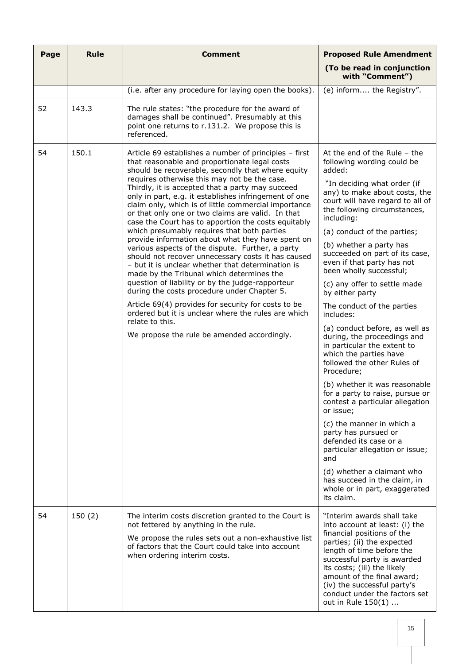| Page | <b>Rule</b> | <b>Comment</b>                                                                                                                                                                                                                                                                                                                                                                                                                                                                                                                                                                                                                                                                                                                                                                                                                                                                                                                                                                                                                                                                                  | <b>Proposed Rule Amendment</b>                                                                                                                                                                                                                                                                                                                                                                                                                                                                                                                                                                                                                                                                                                                                                                                                                                                                                                                                                                               |
|------|-------------|-------------------------------------------------------------------------------------------------------------------------------------------------------------------------------------------------------------------------------------------------------------------------------------------------------------------------------------------------------------------------------------------------------------------------------------------------------------------------------------------------------------------------------------------------------------------------------------------------------------------------------------------------------------------------------------------------------------------------------------------------------------------------------------------------------------------------------------------------------------------------------------------------------------------------------------------------------------------------------------------------------------------------------------------------------------------------------------------------|--------------------------------------------------------------------------------------------------------------------------------------------------------------------------------------------------------------------------------------------------------------------------------------------------------------------------------------------------------------------------------------------------------------------------------------------------------------------------------------------------------------------------------------------------------------------------------------------------------------------------------------------------------------------------------------------------------------------------------------------------------------------------------------------------------------------------------------------------------------------------------------------------------------------------------------------------------------------------------------------------------------|
|      |             |                                                                                                                                                                                                                                                                                                                                                                                                                                                                                                                                                                                                                                                                                                                                                                                                                                                                                                                                                                                                                                                                                                 | (To be read in conjunction<br>with "Comment")                                                                                                                                                                                                                                                                                                                                                                                                                                                                                                                                                                                                                                                                                                                                                                                                                                                                                                                                                                |
|      |             | (i.e. after any procedure for laying open the books).                                                                                                                                                                                                                                                                                                                                                                                                                                                                                                                                                                                                                                                                                                                                                                                                                                                                                                                                                                                                                                           | (e) inform the Registry".                                                                                                                                                                                                                                                                                                                                                                                                                                                                                                                                                                                                                                                                                                                                                                                                                                                                                                                                                                                    |
| 52   | 143.3       | The rule states: "the procedure for the award of<br>damages shall be continued". Presumably at this<br>point one returns to r.131.2. We propose this is<br>referenced.                                                                                                                                                                                                                                                                                                                                                                                                                                                                                                                                                                                                                                                                                                                                                                                                                                                                                                                          |                                                                                                                                                                                                                                                                                                                                                                                                                                                                                                                                                                                                                                                                                                                                                                                                                                                                                                                                                                                                              |
| 54   | 150.1       | Article 69 establishes a number of principles - first<br>that reasonable and proportionate legal costs<br>should be recoverable, secondly that where equity<br>requires otherwise this may not be the case.<br>Thirdly, it is accepted that a party may succeed<br>only in part, e.g. it establishes infringement of one<br>claim only, which is of little commercial importance<br>or that only one or two claims are valid. In that<br>case the Court has to apportion the costs equitably<br>which presumably requires that both parties<br>provide information about what they have spent on<br>various aspects of the dispute. Further, a party<br>should not recover unnecessary costs it has caused<br>- but it is unclear whether that determination is<br>made by the Tribunal which determines the<br>question of liability or by the judge-rapporteur<br>during the costs procedure under Chapter 5.<br>Article 69(4) provides for security for costs to be<br>ordered but it is unclear where the rules are which<br>relate to this.<br>We propose the rule be amended accordingly. | At the end of the Rule $-$ the<br>following wording could be<br>added:<br>"In deciding what order (if<br>any) to make about costs, the<br>court will have regard to all of<br>the following circumstances,<br>including:<br>(a) conduct of the parties;<br>(b) whether a party has<br>succeeded on part of its case,<br>even if that party has not<br>been wholly successful;<br>(c) any offer to settle made<br>by either party<br>The conduct of the parties<br>includes:<br>(a) conduct before, as well as<br>during, the proceedings and<br>in particular the extent to<br>which the parties have<br>followed the other Rules of<br>Procedure;<br>(b) whether it was reasonable<br>for a party to raise, pursue or<br>contest a particular allegation<br>or issue:<br>(c) the manner in which a<br>party has pursued or<br>defended its case or a<br>particular allegation or issue;<br>and<br>(d) whether a claimant who<br>has succeed in the claim, in<br>whole or in part, exaggerated<br>its claim. |
| 54   | 150(2)      | The interim costs discretion granted to the Court is<br>not fettered by anything in the rule.<br>We propose the rules sets out a non-exhaustive list<br>of factors that the Court could take into account<br>when ordering interim costs.                                                                                                                                                                                                                                                                                                                                                                                                                                                                                                                                                                                                                                                                                                                                                                                                                                                       | "Interim awards shall take<br>into account at least: (i) the<br>financial positions of the<br>parties; (ii) the expected<br>length of time before the<br>successful party is awarded<br>its costs; (iii) the likely<br>amount of the final award;<br>(iv) the successful party's<br>conduct under the factors set<br>out in Rule 150(1)                                                                                                                                                                                                                                                                                                                                                                                                                                                                                                                                                                                                                                                                      |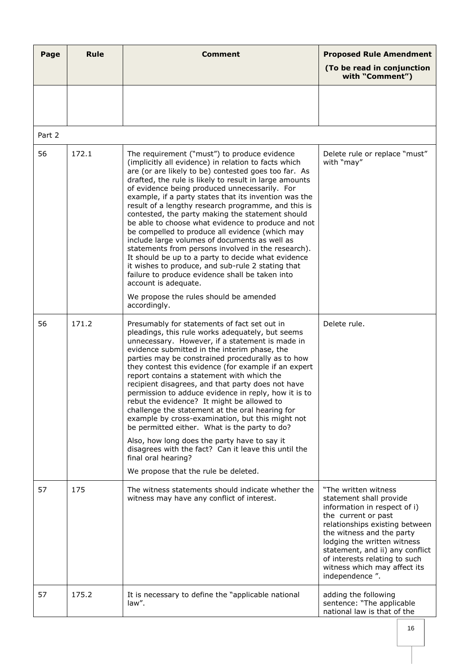| Page   | <b>Rule</b> | <b>Comment</b>                                                                                                                                                                                                                                                                                                                                                                                                                                                                                                                                                                                                                                                                                                                                                                                                                                                                                              | <b>Proposed Rule Amendment</b>                                                                                                                                                                                                                                                                                              |
|--------|-------------|-------------------------------------------------------------------------------------------------------------------------------------------------------------------------------------------------------------------------------------------------------------------------------------------------------------------------------------------------------------------------------------------------------------------------------------------------------------------------------------------------------------------------------------------------------------------------------------------------------------------------------------------------------------------------------------------------------------------------------------------------------------------------------------------------------------------------------------------------------------------------------------------------------------|-----------------------------------------------------------------------------------------------------------------------------------------------------------------------------------------------------------------------------------------------------------------------------------------------------------------------------|
|        |             |                                                                                                                                                                                                                                                                                                                                                                                                                                                                                                                                                                                                                                                                                                                                                                                                                                                                                                             | (To be read in conjunction<br>with "Comment")                                                                                                                                                                                                                                                                               |
|        |             |                                                                                                                                                                                                                                                                                                                                                                                                                                                                                                                                                                                                                                                                                                                                                                                                                                                                                                             |                                                                                                                                                                                                                                                                                                                             |
| Part 2 |             |                                                                                                                                                                                                                                                                                                                                                                                                                                                                                                                                                                                                                                                                                                                                                                                                                                                                                                             |                                                                                                                                                                                                                                                                                                                             |
| 56     | 172.1       | The requirement ("must") to produce evidence<br>(implicitly all evidence) in relation to facts which<br>are (or are likely to be) contested goes too far. As<br>drafted, the rule is likely to result in large amounts<br>of evidence being produced unnecessarily. For<br>example, if a party states that its invention was the<br>result of a lengthy research programme, and this is<br>contested, the party making the statement should<br>be able to choose what evidence to produce and not<br>be compelled to produce all evidence (which may<br>include large volumes of documents as well as<br>statements from persons involved in the research).<br>It should be up to a party to decide what evidence<br>it wishes to produce, and sub-rule 2 stating that<br>failure to produce evidence shall be taken into<br>account is adequate.<br>We propose the rules should be amended<br>accordingly. | Delete rule or replace "must"<br>with "may"                                                                                                                                                                                                                                                                                 |
| 56     | 171.2       | Presumably for statements of fact set out in<br>pleadings, this rule works adequately, but seems<br>unnecessary. However, if a statement is made in<br>evidence submitted in the interim phase, the<br>parties may be constrained procedurally as to how<br>they contest this evidence (for example if an expert<br>report contains a statement with which the<br>recipient disagrees, and that party does not have<br>permission to adduce evidence in reply, how it is to<br>rebut the evidence? It might be allowed to<br>challenge the statement at the oral hearing for<br>example by cross-examination, but this might not<br>be permitted either. What is the party to do?<br>Also, how long does the party have to say it<br>disagrees with the fact? Can it leave this until the<br>final oral hearing?<br>We propose that the rule be deleted.                                                    | Delete rule.                                                                                                                                                                                                                                                                                                                |
| 57     | 175         | The witness statements should indicate whether the<br>witness may have any conflict of interest.                                                                                                                                                                                                                                                                                                                                                                                                                                                                                                                                                                                                                                                                                                                                                                                                            | "The written witness<br>statement shall provide<br>information in respect of i)<br>the current or past<br>relationships existing between<br>the witness and the party<br>lodging the written witness<br>statement, and ii) any conflict<br>of interests relating to such<br>witness which may affect its<br>independence ". |
| 57     | 175.2       | It is necessary to define the "applicable national<br>law".                                                                                                                                                                                                                                                                                                                                                                                                                                                                                                                                                                                                                                                                                                                                                                                                                                                 | adding the following<br>sentence: "The applicable<br>national law is that of the                                                                                                                                                                                                                                            |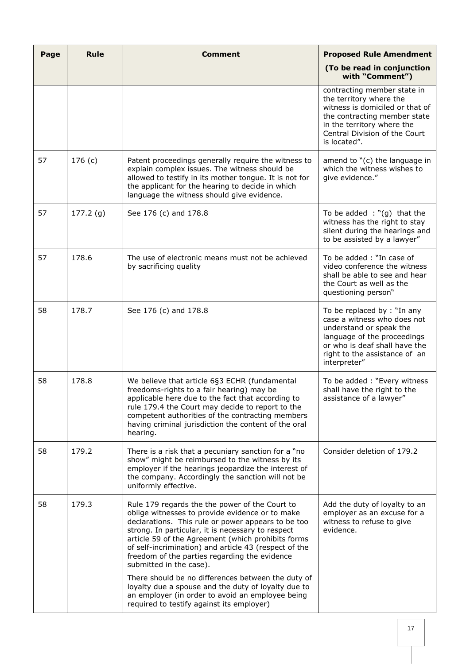| Page | <b>Rule</b> | <b>Comment</b>                                                                                                                                                                                                                                                                                                                                                                                          | <b>Proposed Rule Amendment</b>                                                                                                                                                                           |
|------|-------------|---------------------------------------------------------------------------------------------------------------------------------------------------------------------------------------------------------------------------------------------------------------------------------------------------------------------------------------------------------------------------------------------------------|----------------------------------------------------------------------------------------------------------------------------------------------------------------------------------------------------------|
|      |             |                                                                                                                                                                                                                                                                                                                                                                                                         | (To be read in conjunction<br>with "Comment")                                                                                                                                                            |
|      |             |                                                                                                                                                                                                                                                                                                                                                                                                         | contracting member state in<br>the territory where the<br>witness is domiciled or that of<br>the contracting member state<br>in the territory where the<br>Central Division of the Court<br>is located". |
| 57   | 176(c)      | Patent proceedings generally require the witness to<br>explain complex issues. The witness should be<br>allowed to testify in its mother tongue. It is not for<br>the applicant for the hearing to decide in which<br>language the witness should give evidence.                                                                                                                                        | amend to "(c) the language in<br>which the witness wishes to<br>give evidence."                                                                                                                          |
| 57   | 177.2(g)    | See 176 (c) and 178.8                                                                                                                                                                                                                                                                                                                                                                                   | To be added $:$ "(g) that the<br>witness has the right to stay<br>silent during the hearings and<br>to be assisted by a lawyer"                                                                          |
| 57   | 178.6       | The use of electronic means must not be achieved<br>by sacrificing quality                                                                                                                                                                                                                                                                                                                              | To be added: "In case of<br>video conference the witness<br>shall be able to see and hear<br>the Court as well as the<br>questioning person"                                                             |
| 58   | 178.7       | See 176 (c) and 178.8                                                                                                                                                                                                                                                                                                                                                                                   | To be replaced by : "In any<br>case a witness who does not<br>understand or speak the<br>language of the proceedings<br>or who is deaf shall have the<br>right to the assistance of an<br>interpreter"   |
| 58   | 178.8       | We believe that article 6§3 ECHR (fundamental<br>freedoms-rights to a fair hearing) may be<br>applicable here due to the fact that according to<br>rule 179.4 the Court may decide to report to the<br>competent authorities of the contracting members<br>having criminal jurisdiction the content of the oral<br>hearing.                                                                             | To be added: "Every witness<br>shall have the right to the<br>assistance of a lawyer"                                                                                                                    |
| 58   | 179.2       | There is a risk that a pecuniary sanction for a "no<br>show" might be reimbursed to the witness by its<br>employer if the hearings jeopardize the interest of<br>the company. Accordingly the sanction will not be<br>uniformly effective.                                                                                                                                                              | Consider deletion of 179.2                                                                                                                                                                               |
| 58   | 179.3       | Rule 179 regards the the power of the Court to<br>oblige witnesses to provide evidence or to make<br>declarations. This rule or power appears to be too<br>strong. In particular, it is necessary to respect<br>article 59 of the Agreement (which prohibits forms<br>of self-incrimination) and article 43 (respect of the<br>freedom of the parties regarding the evidence<br>submitted in the case). | Add the duty of loyalty to an<br>employer as an excuse for a<br>witness to refuse to give<br>evidence.                                                                                                   |
|      |             | There should be no differences between the duty of<br>loyalty due a spouse and the duty of loyalty due to<br>an employer (in order to avoid an employee being<br>required to testify against its employer)                                                                                                                                                                                              |                                                                                                                                                                                                          |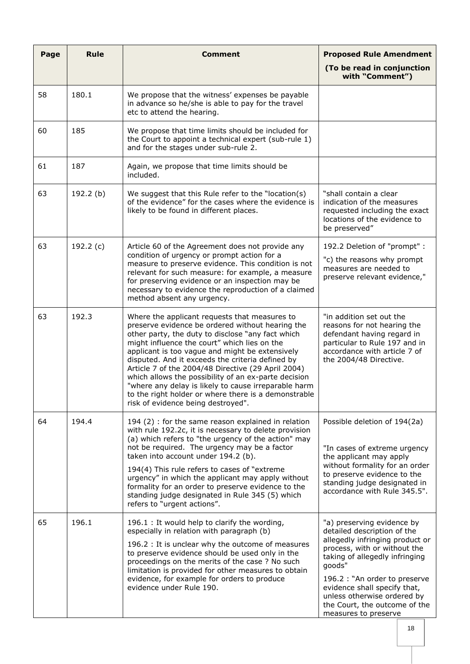| Page | <b>Rule</b> | <b>Comment</b>                                                                                                                                                                                                                                                                                                                                                                                                                                                                                                                                                                    | <b>Proposed Rule Amendment</b><br>(To be read in conjunction                                                                                                                                                                                                                                                                      |
|------|-------------|-----------------------------------------------------------------------------------------------------------------------------------------------------------------------------------------------------------------------------------------------------------------------------------------------------------------------------------------------------------------------------------------------------------------------------------------------------------------------------------------------------------------------------------------------------------------------------------|-----------------------------------------------------------------------------------------------------------------------------------------------------------------------------------------------------------------------------------------------------------------------------------------------------------------------------------|
|      |             |                                                                                                                                                                                                                                                                                                                                                                                                                                                                                                                                                                                   | with "Comment")                                                                                                                                                                                                                                                                                                                   |
| 58   | 180.1       | We propose that the witness' expenses be payable<br>in advance so he/she is able to pay for the travel<br>etc to attend the hearing.                                                                                                                                                                                                                                                                                                                                                                                                                                              |                                                                                                                                                                                                                                                                                                                                   |
| 60   | 185         | We propose that time limits should be included for<br>the Court to appoint a technical expert (sub-rule 1)<br>and for the stages under sub-rule 2.                                                                                                                                                                                                                                                                                                                                                                                                                                |                                                                                                                                                                                                                                                                                                                                   |
| 61   | 187         | Again, we propose that time limits should be<br>included.                                                                                                                                                                                                                                                                                                                                                                                                                                                                                                                         |                                                                                                                                                                                                                                                                                                                                   |
| 63   | 192.2 (b)   | We suggest that this Rule refer to the "location(s)<br>of the evidence" for the cases where the evidence is<br>likely to be found in different places.                                                                                                                                                                                                                                                                                                                                                                                                                            | "shall contain a clear<br>indication of the measures<br>requested including the exact<br>locations of the evidence to<br>be preserved"                                                                                                                                                                                            |
| 63   | 192.2 (c)   | Article 60 of the Agreement does not provide any<br>condition of urgency or prompt action for a<br>measure to preserve evidence. This condition is not<br>relevant for such measure: for example, a measure<br>for preserving evidence or an inspection may be<br>necessary to evidence the reproduction of a claimed<br>method absent any urgency.                                                                                                                                                                                                                               | 192.2 Deletion of "prompt" :<br>"c) the reasons why prompt<br>measures are needed to<br>preserve relevant evidence,"                                                                                                                                                                                                              |
| 63   | 192.3       | Where the applicant requests that measures to<br>preserve evidence be ordered without hearing the<br>other party, the duty to disclose "any fact which<br>might influence the court" which lies on the<br>applicant is too vague and might be extensively<br>disputed. And it exceeds the criteria defined by<br>Article 7 of the 2004/48 Directive (29 April 2004)<br>which allows the possibility of an ex-parte decision<br>"where any delay is likely to cause irreparable harm<br>to the right holder or where there is a demonstrable<br>risk of evidence being destroyed". | "in addition set out the<br>reasons for not hearing the<br>defendant having regard in<br>particular to Rule 197 and in<br>accordance with article 7 of<br>the 2004/48 Directive.                                                                                                                                                  |
| 64   | 194.4       | 194 (2) : for the same reason explained in relation<br>with rule 192.2c, it is necessary to delete provision<br>(a) which refers to "the urgency of the action" may<br>not be required. The urgency may be a factor<br>taken into account under 194.2 (b).<br>194(4) This rule refers to cases of "extreme<br>urgency" in which the applicant may apply without<br>formality for an order to preserve evidence to the<br>standing judge designated in Rule 345 (5) which<br>refers to "urgent actions".                                                                           | Possible deletion of 194(2a)<br>"In cases of extreme urgency<br>the applicant may apply<br>without formality for an order<br>to preserve evidence to the<br>standing judge designated in<br>accordance with Rule 345.5".                                                                                                          |
| 65   | 196.1       | 196.1 : It would help to clarify the wording,<br>especially in relation with paragraph (b)<br>196.2 : It is unclear why the outcome of measures<br>to preserve evidence should be used only in the<br>proceedings on the merits of the case ? No such<br>limitation is provided for other measures to obtain<br>evidence, for example for orders to produce<br>evidence under Rule 190.                                                                                                                                                                                           | "a) preserving evidence by<br>detailed description of the<br>allegedly infringing product or<br>process, with or without the<br>taking of allegedly infringing<br>goods"<br>196.2 : "An order to preserve<br>evidence shall specify that,<br>unless otherwise ordered by<br>the Court, the outcome of the<br>measures to preserve |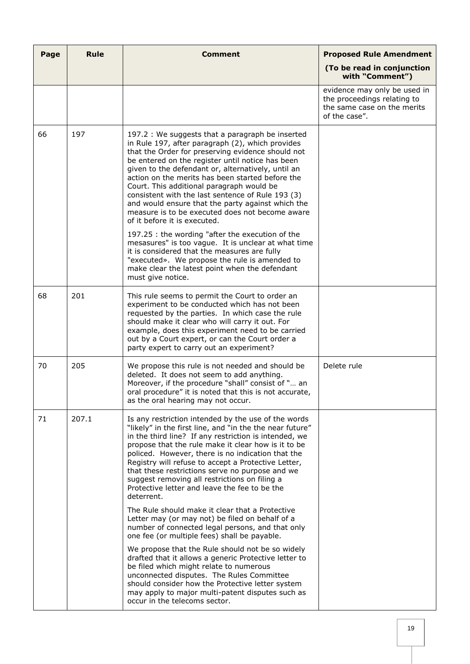| Page | <b>Rule</b> | <b>Comment</b>                                                                                                                                                                                                                                                                                                                                                                                                                                                                                                                                                    | <b>Proposed Rule Amendment</b>                                                                              |
|------|-------------|-------------------------------------------------------------------------------------------------------------------------------------------------------------------------------------------------------------------------------------------------------------------------------------------------------------------------------------------------------------------------------------------------------------------------------------------------------------------------------------------------------------------------------------------------------------------|-------------------------------------------------------------------------------------------------------------|
|      |             |                                                                                                                                                                                                                                                                                                                                                                                                                                                                                                                                                                   | (To be read in conjunction<br>with "Comment")                                                               |
|      |             |                                                                                                                                                                                                                                                                                                                                                                                                                                                                                                                                                                   | evidence may only be used in<br>the proceedings relating to<br>the same case on the merits<br>of the case". |
| 66   | 197         | 197.2 : We suggests that a paragraph be inserted<br>in Rule 197, after paragraph (2), which provides<br>that the Order for preserving evidence should not<br>be entered on the register until notice has been<br>given to the defendant or, alternatively, until an<br>action on the merits has been started before the<br>Court. This additional paragraph would be<br>consistent with the last sentence of Rule 193 (3)<br>and would ensure that the party against which the<br>measure is to be executed does not become aware<br>of it before it is executed. |                                                                                                             |
|      |             | 197.25 : the wording "after the execution of the<br>mesasures" is too vague. It is unclear at what time<br>it is considered that the measures are fully<br>"executed». We propose the rule is amended to<br>make clear the latest point when the defendant<br>must give notice.                                                                                                                                                                                                                                                                                   |                                                                                                             |
| 68   | 201         | This rule seems to permit the Court to order an<br>experiment to be conducted which has not been<br>requested by the parties. In which case the rule<br>should make it clear who will carry it out. For<br>example, does this experiment need to be carried<br>out by a Court expert, or can the Court order a<br>party expert to carry out an experiment?                                                                                                                                                                                                        |                                                                                                             |
| 70   | 205         | We propose this rule is not needed and should be<br>deleted. It does not seem to add anything.<br>Moreover, if the procedure "shall" consist of " an<br>oral procedure" it is noted that this is not accurate,<br>as the oral hearing may not occur.                                                                                                                                                                                                                                                                                                              | Delete rule                                                                                                 |
| 71   | 207.1       | Is any restriction intended by the use of the words<br>"likely" in the first line, and "in the the near future"<br>in the third line? If any restriction is intended, we<br>propose that the rule make it clear how is it to be<br>policed. However, there is no indication that the<br>Registry will refuse to accept a Protective Letter,<br>that these restrictions serve no purpose and we<br>suggest removing all restrictions on filing a<br>Protective letter and leave the fee to be the<br>deterrent.                                                    |                                                                                                             |
|      |             | The Rule should make it clear that a Protective<br>Letter may (or may not) be filed on behalf of a<br>number of connected legal persons, and that only<br>one fee (or multiple fees) shall be payable.                                                                                                                                                                                                                                                                                                                                                            |                                                                                                             |
|      |             | We propose that the Rule should not be so widely<br>drafted that it allows a generic Protective letter to<br>be filed which might relate to numerous<br>unconnected disputes. The Rules Committee<br>should consider how the Protective letter system<br>may apply to major multi-patent disputes such as<br>occur in the telecoms sector.                                                                                                                                                                                                                        |                                                                                                             |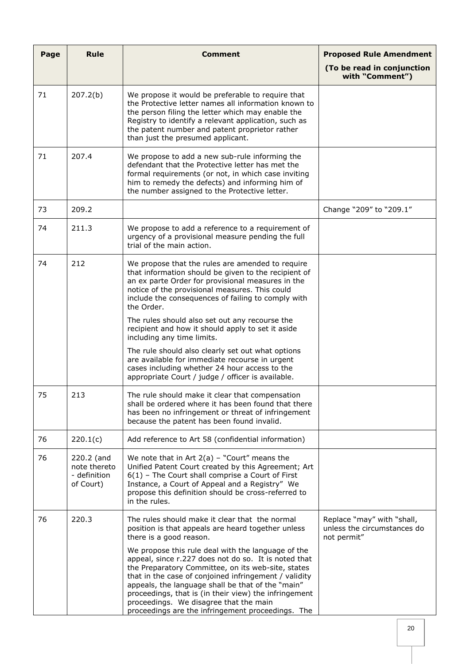| Page | <b>Rule</b>                                             | <b>Comment</b>                                                                                                                                                                                                                                                                                                                                                                                                                         | <b>Proposed Rule Amendment</b>                                           |
|------|---------------------------------------------------------|----------------------------------------------------------------------------------------------------------------------------------------------------------------------------------------------------------------------------------------------------------------------------------------------------------------------------------------------------------------------------------------------------------------------------------------|--------------------------------------------------------------------------|
|      |                                                         |                                                                                                                                                                                                                                                                                                                                                                                                                                        | (To be read in conjunction<br>with "Comment")                            |
| 71   | 207.2(b)                                                | We propose it would be preferable to require that<br>the Protective letter names all information known to<br>the person filing the letter which may enable the<br>Registry to identify a relevant application, such as<br>the patent number and patent proprietor rather<br>than just the presumed applicant.                                                                                                                          |                                                                          |
| 71   | 207.4                                                   | We propose to add a new sub-rule informing the<br>defendant that the Protective letter has met the<br>formal requirements (or not, in which case inviting<br>him to remedy the defects) and informing him of<br>the number assigned to the Protective letter.                                                                                                                                                                          |                                                                          |
| 73   | 209.2                                                   |                                                                                                                                                                                                                                                                                                                                                                                                                                        | Change "209" to "209.1"                                                  |
| 74   | 211.3                                                   | We propose to add a reference to a requirement of<br>urgency of a provisional measure pending the full<br>trial of the main action.                                                                                                                                                                                                                                                                                                    |                                                                          |
| 74   | 212                                                     | We propose that the rules are amended to require<br>that information should be given to the recipient of<br>an ex parte Order for provisional measures in the<br>notice of the provisional measures. This could<br>include the consequences of failing to comply with<br>the Order.                                                                                                                                                    |                                                                          |
|      |                                                         | The rules should also set out any recourse the<br>recipient and how it should apply to set it aside<br>including any time limits.                                                                                                                                                                                                                                                                                                      |                                                                          |
|      |                                                         | The rule should also clearly set out what options<br>are available for immediate recourse in urgent<br>cases including whether 24 hour access to the<br>appropriate Court / judge / officer is available.                                                                                                                                                                                                                              |                                                                          |
| 75   | 213                                                     | The rule should make it clear that compensation<br>shall be ordered where it has been found that there<br>has been no infringement or threat of infringement<br>because the patent has been found invalid.                                                                                                                                                                                                                             |                                                                          |
| 76   | 220.1(c)                                                | Add reference to Art 58 (confidential information)                                                                                                                                                                                                                                                                                                                                                                                     |                                                                          |
| 76   | 220.2 (and<br>note thereto<br>- definition<br>of Court) | We note that in Art $2(a)$ - "Court" means the<br>Unified Patent Court created by this Agreement; Art<br>$6(1)$ - The Court shall comprise a Court of First<br>Instance, a Court of Appeal and a Registry" We<br>propose this definition should be cross-referred to<br>in the rules.                                                                                                                                                  |                                                                          |
| 76   | 220.3                                                   | The rules should make it clear that the normal<br>position is that appeals are heard together unless<br>there is a good reason.                                                                                                                                                                                                                                                                                                        | Replace "may" with "shall,<br>unless the circumstances do<br>not permit" |
|      |                                                         | We propose this rule deal with the language of the<br>appeal, since r.227 does not do so. It is noted that<br>the Preparatory Committee, on its web-site, states<br>that in the case of conjoined infringement / validity<br>appeals, the language shall be that of the "main"<br>proceedings, that is (in their view) the infringement<br>proceedings. We disagree that the main<br>proceedings are the infringement proceedings. The |                                                                          |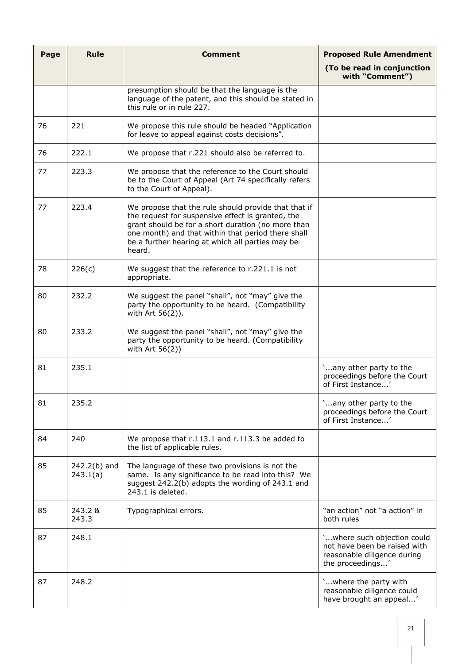| Page | Rule                       | Comment                                                                                                                                                                                                                                                                             | <b>Proposed Rule Amendment</b>                                                                                 |
|------|----------------------------|-------------------------------------------------------------------------------------------------------------------------------------------------------------------------------------------------------------------------------------------------------------------------------------|----------------------------------------------------------------------------------------------------------------|
|      |                            |                                                                                                                                                                                                                                                                                     | (To be read in conjunction<br>with "Comment")                                                                  |
|      |                            | presumption should be that the language is the<br>language of the patent, and this should be stated in<br>this rule or in rule 227.                                                                                                                                                 |                                                                                                                |
| 76   | 221                        | We propose this rule should be headed "Application"<br>for leave to appeal against costs decisions".                                                                                                                                                                                |                                                                                                                |
| 76   | 222.1                      | We propose that r.221 should also be referred to.                                                                                                                                                                                                                                   |                                                                                                                |
| 77   | 223.3                      | We propose that the reference to the Court should<br>be to the Court of Appeal (Art 74 specifically refers<br>to the Court of Appeal).                                                                                                                                              |                                                                                                                |
| 77   | 223.4                      | We propose that the rule should provide that that if<br>the request for suspensive effect is granted, the<br>grant should be for a short duration (no more than<br>one month) and that within that period there shall<br>be a further hearing at which all parties may be<br>heard. |                                                                                                                |
| 78   | 226(c)                     | We suggest that the reference to r.221.1 is not<br>appropriate.                                                                                                                                                                                                                     |                                                                                                                |
| 80   | 232.2                      | We suggest the panel "shall", not "may" give the<br>party the opportunity to be heard. (Compatibility<br>with Art 56(2)).                                                                                                                                                           |                                                                                                                |
| 80   | 233.2                      | We suggest the panel "shall", not "may" give the<br>party the opportunity to be heard. (Compatibility<br>with Art 56(2))                                                                                                                                                            |                                                                                                                |
| 81   | 235.1                      |                                                                                                                                                                                                                                                                                     | 'any other party to the<br>proceedings before the Court<br>of First Instance'                                  |
| 81   | 235.2                      |                                                                                                                                                                                                                                                                                     | 'any other party to the<br>proceedings before the Court<br>of First Instance'                                  |
| 84   | 240                        | We propose that r.113.1 and r.113.3 be added to<br>the list of applicable rules.                                                                                                                                                                                                    |                                                                                                                |
| 85   | $242.2(b)$ and<br>243.1(a) | The language of these two provisions is not the<br>same. Is any significance to be read into this? We<br>suggest 242.2(b) adopts the wording of 243.1 and<br>243.1 is deleted.                                                                                                      |                                                                                                                |
| 85   | 243.2 &<br>243.3           | Typographical errors.                                                                                                                                                                                                                                                               | "an action" not "a action" in<br>both rules                                                                    |
| 87   | 248.1                      |                                                                                                                                                                                                                                                                                     | 'where such objection could<br>not have been be raised with<br>reasonable diligence during<br>the proceedings' |
| 87   | 248.2                      |                                                                                                                                                                                                                                                                                     | 'where the party with<br>reasonable diligence could<br>have brought an appeal'                                 |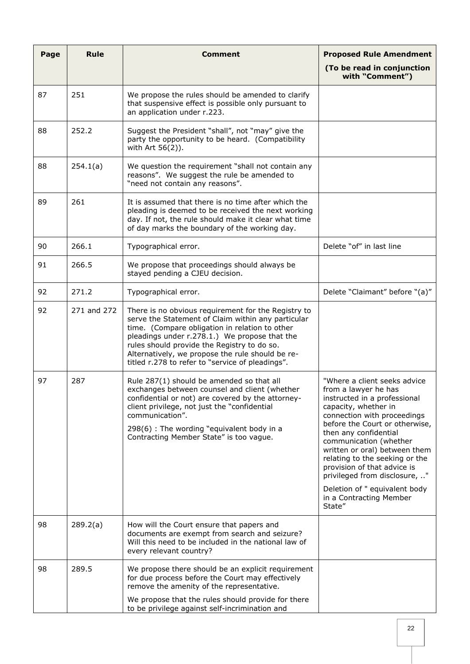| Page | <b>Rule</b> | <b>Comment</b>                                                                                                                                                                                                                                                                                                                                                      | <b>Proposed Rule Amendment</b>                                                                                                                                                                                                                                                                                                                                                                                                            |
|------|-------------|---------------------------------------------------------------------------------------------------------------------------------------------------------------------------------------------------------------------------------------------------------------------------------------------------------------------------------------------------------------------|-------------------------------------------------------------------------------------------------------------------------------------------------------------------------------------------------------------------------------------------------------------------------------------------------------------------------------------------------------------------------------------------------------------------------------------------|
|      |             |                                                                                                                                                                                                                                                                                                                                                                     | (To be read in conjunction<br>with "Comment")                                                                                                                                                                                                                                                                                                                                                                                             |
| 87   | 251         | We propose the rules should be amended to clarify<br>that suspensive effect is possible only pursuant to<br>an application under r.223.                                                                                                                                                                                                                             |                                                                                                                                                                                                                                                                                                                                                                                                                                           |
| 88   | 252.2       | Suggest the President "shall", not "may" give the<br>party the opportunity to be heard. (Compatibility<br>with Art 56(2)).                                                                                                                                                                                                                                          |                                                                                                                                                                                                                                                                                                                                                                                                                                           |
| 88   | 254.1(a)    | We question the requirement "shall not contain any<br>reasons". We suggest the rule be amended to<br>"need not contain any reasons".                                                                                                                                                                                                                                |                                                                                                                                                                                                                                                                                                                                                                                                                                           |
| 89   | 261         | It is assumed that there is no time after which the<br>pleading is deemed to be received the next working<br>day. If not, the rule should make it clear what time<br>of day marks the boundary of the working day.                                                                                                                                                  |                                                                                                                                                                                                                                                                                                                                                                                                                                           |
| 90   | 266.1       | Typographical error.                                                                                                                                                                                                                                                                                                                                                | Delete "of" in last line                                                                                                                                                                                                                                                                                                                                                                                                                  |
| 91   | 266.5       | We propose that proceedings should always be<br>stayed pending a CJEU decision.                                                                                                                                                                                                                                                                                     |                                                                                                                                                                                                                                                                                                                                                                                                                                           |
| 92   | 271.2       | Typographical error.                                                                                                                                                                                                                                                                                                                                                | Delete "Claimant" before "(a)"                                                                                                                                                                                                                                                                                                                                                                                                            |
| 92   | 271 and 272 | There is no obvious requirement for the Registry to<br>serve the Statement of Claim within any particular<br>time. (Compare obligation in relation to other<br>pleadings under r.278.1.) We propose that the<br>rules should provide the Registry to do so.<br>Alternatively, we propose the rule should be re-<br>titled r.278 to refer to "service of pleadings". |                                                                                                                                                                                                                                                                                                                                                                                                                                           |
| 97   | 287         | Rule 287(1) should be amended so that all<br>exchanges between counsel and client (whether<br>confidential or not) are covered by the attorney-<br>client privilege, not just the "confidential<br>communication".<br>298(6) : The wording "equivalent body in a<br>Contracting Member State" is too vague.                                                         | "Where a client seeks advice<br>from a lawyer he has<br>instructed in a professional<br>capacity, whether in<br>connection with proceedings<br>before the Court or otherwise,<br>then any confidential<br>communication (whether<br>written or oral) between them<br>relating to the seeking or the<br>provision of that advice is<br>privileged from disclosure, "<br>Deletion of " equivalent body<br>in a Contracting Member<br>State" |
| 98   | 289.2(a)    | How will the Court ensure that papers and<br>documents are exempt from search and seizure?<br>Will this need to be included in the national law of<br>every relevant country?                                                                                                                                                                                       |                                                                                                                                                                                                                                                                                                                                                                                                                                           |
| 98   | 289.5       | We propose there should be an explicit requirement<br>for due process before the Court may effectively<br>remove the amenity of the representative.<br>We propose that the rules should provide for there<br>to be privilege against self-incrimination and                                                                                                         |                                                                                                                                                                                                                                                                                                                                                                                                                                           |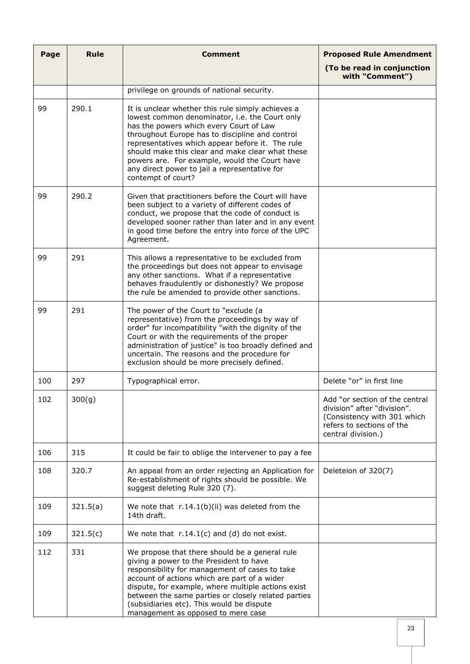| Page | <b>Rule</b> | <b>Comment</b>                                                                                                                                                                                                                                                                                                                                                                                                                    | <b>Proposed Rule Amendment</b>                                                                                                                  |
|------|-------------|-----------------------------------------------------------------------------------------------------------------------------------------------------------------------------------------------------------------------------------------------------------------------------------------------------------------------------------------------------------------------------------------------------------------------------------|-------------------------------------------------------------------------------------------------------------------------------------------------|
|      |             |                                                                                                                                                                                                                                                                                                                                                                                                                                   | (To be read in conjunction<br>with "Comment")                                                                                                   |
|      |             | privilege on grounds of national security.                                                                                                                                                                                                                                                                                                                                                                                        |                                                                                                                                                 |
| 99   | 290.1       | It is unclear whether this rule simply achieves a<br>lowest common denominator, i.e. the Court only<br>has the powers which every Court of Law<br>throughout Europe has to discipline and control<br>representatives which appear before it. The rule<br>should make this clear and make clear what these<br>powers are. For example, would the Court have<br>any direct power to jail a representative for<br>contempt of court? |                                                                                                                                                 |
| 99   | 290.2       | Given that practitioners before the Court will have<br>been subject to a variety of different codes of<br>conduct, we propose that the code of conduct is<br>developed sooner rather than later and in any event<br>in good time before the entry into force of the UPC<br>Agreement.                                                                                                                                             |                                                                                                                                                 |
| 99   | 291         | This allows a representative to be excluded from<br>the proceedings but does not appear to envisage<br>any other sanctions. What if a representative<br>behaves fraudulently or dishonestly? We propose<br>the rule be amended to provide other sanctions.                                                                                                                                                                        |                                                                                                                                                 |
| 99   | 291         | The power of the Court to "exclude (a<br>representative) from the proceedings by way of<br>order" for incompatibility "with the dignity of the<br>Court or with the requirements of the proper<br>administration of justice" is too broadly defined and<br>uncertain. The reasons and the procedure for<br>exclusion should be more precisely defined.                                                                            |                                                                                                                                                 |
| 100  | 297         | Typographical error.                                                                                                                                                                                                                                                                                                                                                                                                              | Delete "or" in first line                                                                                                                       |
| 102  | 300(g)      |                                                                                                                                                                                                                                                                                                                                                                                                                                   | Add "or section of the central<br>division" after "division".<br>(Consistency with 301 which<br>refers to sections of the<br>central division.) |
| 106  | 315         | It could be fair to oblige the intervener to pay a fee                                                                                                                                                                                                                                                                                                                                                                            |                                                                                                                                                 |
| 108  | 320.7       | An appeal from an order rejecting an Application for<br>Re-establishment of rights should be possible. We<br>suggest deleting Rule 320 (7).                                                                                                                                                                                                                                                                                       | Deleteion of 320(7)                                                                                                                             |
| 109  | 321.5(a)    | We note that $r.14.1(b)(ii)$ was deleted from the<br>14th draft.                                                                                                                                                                                                                                                                                                                                                                  |                                                                                                                                                 |
| 109  | 321.5(c)    | We note that $r.14.1(c)$ and (d) do not exist.                                                                                                                                                                                                                                                                                                                                                                                    |                                                                                                                                                 |
| 112  | 331         | We propose that there should be a general rule<br>giving a power to the President to have<br>responsibility for management of cases to take<br>account of actions which are part of a wider<br>dispute, for example, where multiple actions exist<br>between the same parties or closely related parties<br>(subsidiaries etc). This would be dispute<br>management as opposed to mere case                                       |                                                                                                                                                 |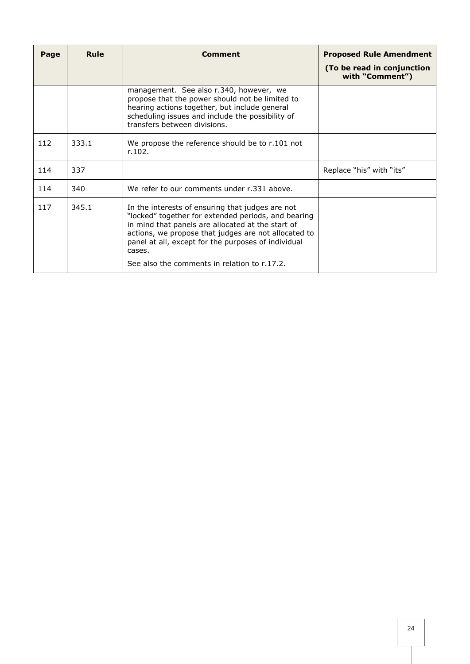| Page | Rule  | Comment                                                                                                                                                                                                                                                                               | <b>Proposed Rule Amendment</b><br>(To be read in conjunction<br>with "Comment") |
|------|-------|---------------------------------------------------------------------------------------------------------------------------------------------------------------------------------------------------------------------------------------------------------------------------------------|---------------------------------------------------------------------------------|
|      |       | management. See also r.340, however, we<br>propose that the power should not be limited to<br>hearing actions together, but include general<br>scheduling issues and include the possibility of<br>transfers between divisions.                                                       |                                                                                 |
| 112  | 333.1 | We propose the reference should be to r.101 not<br>r.102.                                                                                                                                                                                                                             |                                                                                 |
| 114  | 337   |                                                                                                                                                                                                                                                                                       | Replace "his" with "its"                                                        |
| 114  | 340   | We refer to our comments under r.331 above.                                                                                                                                                                                                                                           |                                                                                 |
| 117  | 345.1 | In the interests of ensuring that judges are not<br>"locked" together for extended periods, and bearing<br>in mind that panels are allocated at the start of<br>actions, we propose that judges are not allocated to<br>panel at all, except for the purposes of individual<br>cases. |                                                                                 |
|      |       | See also the comments in relation to r.17.2.                                                                                                                                                                                                                                          |                                                                                 |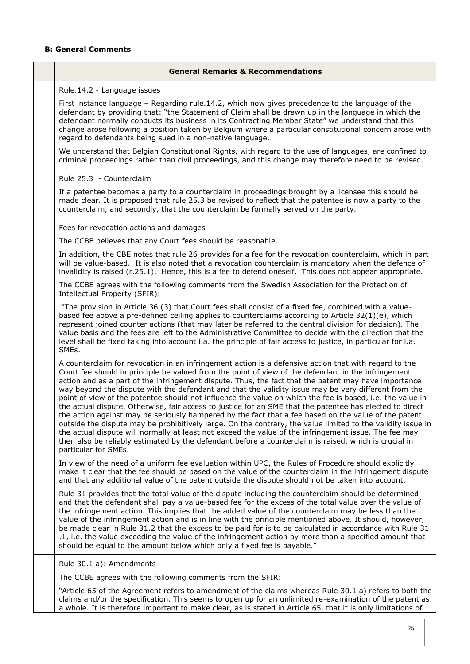## **B: General Comments**

ř.

| <b>General Remarks &amp; Recommendations</b>                                                                                                                                                                                                                                                                                                                                                                                                                                                                                                                                                                                                                                                                                                                                                                                                                                                                                                                                                                                                                                                                           |
|------------------------------------------------------------------------------------------------------------------------------------------------------------------------------------------------------------------------------------------------------------------------------------------------------------------------------------------------------------------------------------------------------------------------------------------------------------------------------------------------------------------------------------------------------------------------------------------------------------------------------------------------------------------------------------------------------------------------------------------------------------------------------------------------------------------------------------------------------------------------------------------------------------------------------------------------------------------------------------------------------------------------------------------------------------------------------------------------------------------------|
| Rule.14.2 - Language issues                                                                                                                                                                                                                                                                                                                                                                                                                                                                                                                                                                                                                                                                                                                                                                                                                                                                                                                                                                                                                                                                                            |
| First instance language - Regarding rule.14.2, which now gives precedence to the language of the<br>defendant by providing that: "the Statement of Claim shall be drawn up in the language in which the<br>defendant normally conducts its business in its Contracting Member State" we understand that this<br>change arose following a position taken by Belgium where a particular constitutional concern arose with<br>regard to defendants being sued in a non-native language.                                                                                                                                                                                                                                                                                                                                                                                                                                                                                                                                                                                                                                   |
| We understand that Belgian Constitutional Rights, with regard to the use of languages, are confined to<br>criminal proceedings rather than civil proceedings, and this change may therefore need to be revised.                                                                                                                                                                                                                                                                                                                                                                                                                                                                                                                                                                                                                                                                                                                                                                                                                                                                                                        |
| Rule 25.3 - Counterclaim                                                                                                                                                                                                                                                                                                                                                                                                                                                                                                                                                                                                                                                                                                                                                                                                                                                                                                                                                                                                                                                                                               |
| If a patentee becomes a party to a counterclaim in proceedings brought by a licensee this should be<br>made clear. It is proposed that rule 25.3 be revised to reflect that the patentee is now a party to the<br>counterclaim, and secondly, that the counterclaim be formally served on the party.                                                                                                                                                                                                                                                                                                                                                                                                                                                                                                                                                                                                                                                                                                                                                                                                                   |
| Fees for revocation actions and damages                                                                                                                                                                                                                                                                                                                                                                                                                                                                                                                                                                                                                                                                                                                                                                                                                                                                                                                                                                                                                                                                                |
| The CCBE believes that any Court fees should be reasonable.                                                                                                                                                                                                                                                                                                                                                                                                                                                                                                                                                                                                                                                                                                                                                                                                                                                                                                                                                                                                                                                            |
| In addition, the CBE notes that rule 26 provides for a fee for the revocation counterclaim, which in part<br>will be value-based. It is also noted that a revocation counterclaim is mandatory when the defence of<br>invalidity is raised (r.25.1). Hence, this is a fee to defend oneself. This does not appear appropriate.                                                                                                                                                                                                                                                                                                                                                                                                                                                                                                                                                                                                                                                                                                                                                                                         |
| The CCBE agrees with the following comments from the Swedish Association for the Protection of<br>Intellectual Property (SFIR):                                                                                                                                                                                                                                                                                                                                                                                                                                                                                                                                                                                                                                                                                                                                                                                                                                                                                                                                                                                        |
| "The provision in Article 36 (3) that Court fees shall consist of a fixed fee, combined with a value-<br>based fee above a pre-defined ceiling applies to counterclaims according to Article 32(1)(e), which<br>represent joined counter actions (that may later be referred to the central division for decision). The<br>value basis and the fees are left to the Administrative Committee to decide with the direction that the<br>level shall be fixed taking into account i.a. the principle of fair access to justice, in particular for i.a.<br>SMEs.                                                                                                                                                                                                                                                                                                                                                                                                                                                                                                                                                           |
| A counterclaim for revocation in an infringement action is a defensive action that with regard to the<br>Court fee should in principle be valued from the point of view of the defendant in the infringement<br>action and as a part of the infringement dispute. Thus, the fact that the patent may have importance<br>way beyond the dispute with the defendant and that the validity issue may be very different from the<br>point of view of the patentee should not influence the value on which the fee is based, i.e. the value in<br>the actual dispute. Otherwise, fair access to justice for an SME that the patentee has elected to direct<br>the action against may be seriously hampered by the fact that a fee based on the value of the patent<br>outside the dispute may be prohibitively large. On the contrary, the value limited to the validity issue in<br>the actual dispute will normally at least not exceed the value of the infringement issue. The fee may<br>then also be reliably estimated by the defendant before a counterclaim is raised, which is crucial in<br>particular for SMEs. |
| In view of the need of a uniform fee evaluation within UPC, the Rules of Procedure should explicitly<br>make it clear that the fee should be based on the value of the counterclaim in the infringement dispute<br>and that any additional value of the patent outside the dispute should not be taken into account.                                                                                                                                                                                                                                                                                                                                                                                                                                                                                                                                                                                                                                                                                                                                                                                                   |
| Rule 31 provides that the total value of the dispute including the counterclaim should be determined<br>and that the defendant shall pay a value-based fee for the excess of the total value over the value of<br>the infringement action. This implies that the added value of the counterclaim may be less than the<br>value of the infringement action and is in line with the principle mentioned above. It should, however,<br>be made clear in Rule 31.2 that the excess to be paid for is to be calculated in accordance with Rule 31<br>.1, i.e. the value exceeding the value of the infringement action by more than a specified amount that<br>should be equal to the amount below which only a fixed fee is payable."                                                                                                                                                                                                                                                                                                                                                                                      |
| Rule 30.1 a): Amendments                                                                                                                                                                                                                                                                                                                                                                                                                                                                                                                                                                                                                                                                                                                                                                                                                                                                                                                                                                                                                                                                                               |
| The CCBE agrees with the following comments from the SFIR:                                                                                                                                                                                                                                                                                                                                                                                                                                                                                                                                                                                                                                                                                                                                                                                                                                                                                                                                                                                                                                                             |
| "Article 65 of the Agreement refers to amendment of the claims whereas Rule 30.1 a) refers to both the<br>claims and/or the specification. This seems to open up for an unlimited re-examination of the patent as<br>a whole. It is therefore important to make clear, as is stated in Article 65, that it is only limitations of                                                                                                                                                                                                                                                                                                                                                                                                                                                                                                                                                                                                                                                                                                                                                                                      |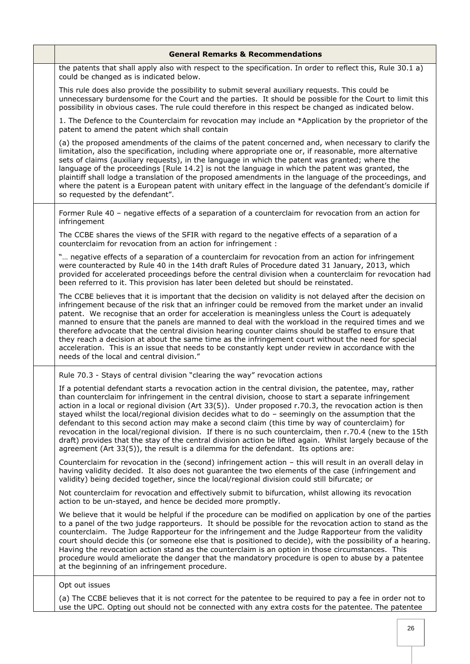| <b>General Remarks &amp; Recommendations</b>                                                                                                                                                                                                                                                                                                                                                                                                                                                                                                                                                                                                                                                                                                                                                                                                         |
|------------------------------------------------------------------------------------------------------------------------------------------------------------------------------------------------------------------------------------------------------------------------------------------------------------------------------------------------------------------------------------------------------------------------------------------------------------------------------------------------------------------------------------------------------------------------------------------------------------------------------------------------------------------------------------------------------------------------------------------------------------------------------------------------------------------------------------------------------|
| the patents that shall apply also with respect to the specification. In order to reflect this, Rule 30.1 a)<br>could be changed as is indicated below.                                                                                                                                                                                                                                                                                                                                                                                                                                                                                                                                                                                                                                                                                               |
| This rule does also provide the possibility to submit several auxiliary requests. This could be<br>unnecessary burdensome for the Court and the parties. It should be possible for the Court to limit this<br>possibility in obvious cases. The rule could therefore in this respect be changed as indicated below.                                                                                                                                                                                                                                                                                                                                                                                                                                                                                                                                  |
| 1. The Defence to the Counterclaim for revocation may include an *Application by the proprietor of the<br>patent to amend the patent which shall contain                                                                                                                                                                                                                                                                                                                                                                                                                                                                                                                                                                                                                                                                                             |
| (a) the proposed amendments of the claims of the patent concerned and, when necessary to clarify the<br>limitation, also the specification, including where appropriate one or, if reasonable, more alternative<br>sets of claims (auxiliary requests), in the language in which the patent was granted; where the<br>language of the proceedings [Rule 14.2] is not the language in which the patent was granted, the<br>plaintiff shall lodge a translation of the proposed amendments in the language of the proceedings, and<br>where the patent is a European patent with unitary effect in the language of the defendant's domicile if<br>so requested by the defendant".                                                                                                                                                                      |
| Former Rule 40 - negative effects of a separation of a counterclaim for revocation from an action for<br>infringement                                                                                                                                                                                                                                                                                                                                                                                                                                                                                                                                                                                                                                                                                                                                |
| The CCBE shares the views of the SFIR with regard to the negative effects of a separation of a<br>counterclaim for revocation from an action for infringement :                                                                                                                                                                                                                                                                                                                                                                                                                                                                                                                                                                                                                                                                                      |
| " negative effects of a separation of a counterclaim for revocation from an action for infringement<br>were counteracted by Rule 40 in the 14th draft Rules of Procedure dated 31 January, 2013, which<br>provided for accelerated proceedings before the central division when a counterclaim for revocation had<br>been referred to it. This provision has later been deleted but should be reinstated.                                                                                                                                                                                                                                                                                                                                                                                                                                            |
| The CCBE believes that it is important that the decision on validity is not delayed after the decision on<br>infringement because of the risk that an infringer could be removed from the market under an invalid<br>patent. We recognise that an order for acceleration is meaningless unless the Court is adequately<br>manned to ensure that the panels are manned to deal with the workload in the required times and we<br>therefore advocate that the central division hearing counter claims should be staffed to ensure that<br>they reach a decision at about the same time as the infringement court without the need for special<br>acceleration. This is an issue that needs to be constantly kept under review in accordance with the<br>needs of the local and central division."                                                      |
| Rule 70.3 - Stays of central division "clearing the way" revocation actions                                                                                                                                                                                                                                                                                                                                                                                                                                                                                                                                                                                                                                                                                                                                                                          |
| If a potential defendant starts a revocation action in the central division, the patentee, may, rather<br>than counterclaim for infringement in the central division, choose to start a separate infringement<br>action in a local or regional division (Art 33(5)). Under proposed r.70.3, the revocation action is then<br>stayed whilst the local/regional division decides what to do - seemingly on the assumption that the<br>defendant to this second action may make a second claim (this time by way of counterclaim) for<br>revocation in the local/regional division. If there is no such counterclaim, then r.70.4 (new to the 15th<br>draft) provides that the stay of the central division action be lifted again. Whilst largely because of the<br>agreement (Art 33(5)), the result is a dilemma for the defendant. Its options are: |
| Counterclaim for revocation in the (second) infringement action - this will result in an overall delay in<br>having validity decided. It also does not guarantee the two elements of the case (infringement and<br>validity) being decided together, since the local/regional division could still bifurcate; or                                                                                                                                                                                                                                                                                                                                                                                                                                                                                                                                     |
| Not counterclaim for revocation and effectively submit to bifurcation, whilst allowing its revocation<br>action to be un-stayed, and hence be decided more promptly.                                                                                                                                                                                                                                                                                                                                                                                                                                                                                                                                                                                                                                                                                 |
| We believe that it would be helpful if the procedure can be modified on application by one of the parties<br>to a panel of the two judge rapporteurs. It should be possible for the revocation action to stand as the<br>counterclaim. The Judge Rapporteur for the infringement and the Judge Rapporteur from the validity<br>court should decide this (or someone else that is positioned to decide), with the possibility of a hearing.<br>Having the revocation action stand as the counterclaim is an option in those circumstances. This<br>procedure would ameliorate the danger that the mandatory procedure is open to abuse by a patentee<br>at the beginning of an infringement procedure.                                                                                                                                                |
| Opt out issues                                                                                                                                                                                                                                                                                                                                                                                                                                                                                                                                                                                                                                                                                                                                                                                                                                       |
| (a) The CCBE believes that it is not correct for the patentee to be required to pay a fee in order not to<br>use the UPC. Opting out should not be connected with any extra costs for the patentee. The patentee                                                                                                                                                                                                                                                                                                                                                                                                                                                                                                                                                                                                                                     |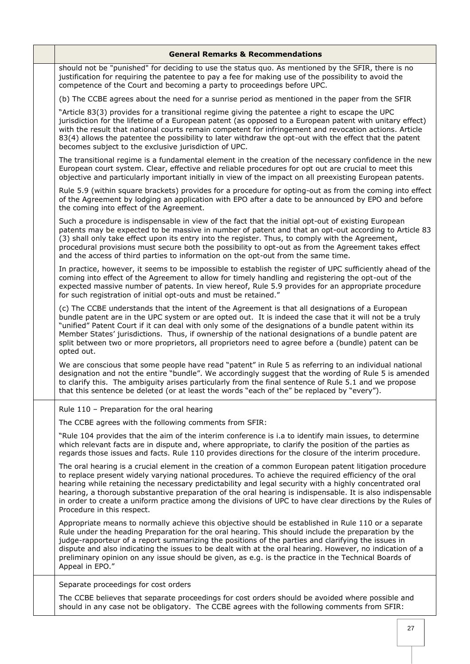| <b>General Remarks &amp; Recommendations</b>                                                                                                                                                                                                                                                                                                                                                                                                                                                                                                                                        |
|-------------------------------------------------------------------------------------------------------------------------------------------------------------------------------------------------------------------------------------------------------------------------------------------------------------------------------------------------------------------------------------------------------------------------------------------------------------------------------------------------------------------------------------------------------------------------------------|
| should not be "punished" for deciding to use the status quo. As mentioned by the SFIR, there is no<br>justification for requiring the patentee to pay a fee for making use of the possibility to avoid the<br>competence of the Court and becoming a party to proceedings before UPC.                                                                                                                                                                                                                                                                                               |
| (b) The CCBE agrees about the need for a sunrise period as mentioned in the paper from the SFIR                                                                                                                                                                                                                                                                                                                                                                                                                                                                                     |
| "Article 83(3) provides for a transitional regime giving the patentee a right to escape the UPC<br>jurisdiction for the lifetime of a European patent (as opposed to a European patent with unitary effect)<br>with the result that national courts remain competent for infringement and revocation actions. Article<br>83(4) allows the patentee the possibility to later withdraw the opt-out with the effect that the patent<br>becomes subject to the exclusive jurisdiction of UPC.                                                                                           |
| The transitional regime is a fundamental element in the creation of the necessary confidence in the new<br>European court system. Clear, effective and reliable procedures for opt out are crucial to meet this<br>objective and particularly important initially in view of the impact on all preexisting European patents.                                                                                                                                                                                                                                                        |
| Rule 5.9 (within square brackets) provides for a procedure for opting-out as from the coming into effect<br>of the Agreement by lodging an application with EPO after a date to be announced by EPO and before<br>the coming into effect of the Agreement.                                                                                                                                                                                                                                                                                                                          |
| Such a procedure is indispensable in view of the fact that the initial opt-out of existing European<br>patents may be expected to be massive in number of patent and that an opt-out according to Article 83<br>(3) shall only take effect upon its entry into the register. Thus, to comply with the Agreement,<br>procedural provisions must secure both the possibility to opt-out as from the Agreement takes effect<br>and the access of third parties to information on the opt-out from the same time.                                                                       |
| In practice, however, it seems to be impossible to establish the register of UPC sufficiently ahead of the<br>coming into effect of the Agreement to allow for timely handling and registering the opt-out of the<br>expected massive number of patents. In view hereof, Rule 5.9 provides for an appropriate procedure<br>for such registration of initial opt-outs and must be retained."                                                                                                                                                                                         |
| (c) The CCBE understands that the intent of the Agreement is that all designations of a European<br>bundle patent are in the UPC system or are opted out. It is indeed the case that it will not be a truly<br>"unified" Patent Court if it can deal with only some of the designations of a bundle patent within its<br>Member States' jurisdictions. Thus, if ownership of the national designations of a bundle patent are<br>split between two or more proprietors, all proprietors need to agree before a (bundle) patent can be<br>opted out.                                 |
| We are conscious that some people have read "patent" in Rule 5 as referring to an individual national<br>designation and not the entire "bundle". We accordingly suggest that the wording of Rule 5 is amended<br>to clarify this. The ambiguity arises particularly from the final sentence of Rule 5.1 and we propose<br>that this sentence be deleted (or at least the words "each of the" be replaced by "every").                                                                                                                                                              |
| Rule 110 - Preparation for the oral hearing                                                                                                                                                                                                                                                                                                                                                                                                                                                                                                                                         |
| The CCBE agrees with the following comments from SFIR:                                                                                                                                                                                                                                                                                                                                                                                                                                                                                                                              |
| "Rule 104 provides that the aim of the interim conference is i.a to identify main issues, to determine<br>which relevant facts are in dispute and, where appropriate, to clarify the position of the parties as<br>regards those issues and facts. Rule 110 provides directions for the closure of the interim procedure.                                                                                                                                                                                                                                                           |
| The oral hearing is a crucial element in the creation of a common European patent litigation procedure<br>to replace present widely varying national procedures. To achieve the required efficiency of the oral<br>hearing while retaining the necessary predictability and legal security with a highly concentrated oral<br>hearing, a thorough substantive preparation of the oral hearing is indispensable. It is also indispensable<br>in order to create a uniform practice among the divisions of UPC to have clear directions by the Rules of<br>Procedure in this respect. |
| Appropriate means to normally achieve this objective should be established in Rule 110 or a separate<br>Rule under the heading Preparation for the oral hearing. This should include the preparation by the<br>judge-rapporteur of a report summarizing the positions of the parties and clarifying the issues in<br>dispute and also indicating the issues to be dealt with at the oral hearing. However, no indication of a<br>preliminary opinion on any issue should be given, as e.g. is the practice in the Technical Boards of<br>Appeal in EPO."                            |
| Separate proceedings for cost orders                                                                                                                                                                                                                                                                                                                                                                                                                                                                                                                                                |
| The CCBE believes that separate proceedings for cost orders should be avoided where possible and<br>should in any case not be obligatory. The CCBE agrees with the following comments from SFIR:                                                                                                                                                                                                                                                                                                                                                                                    |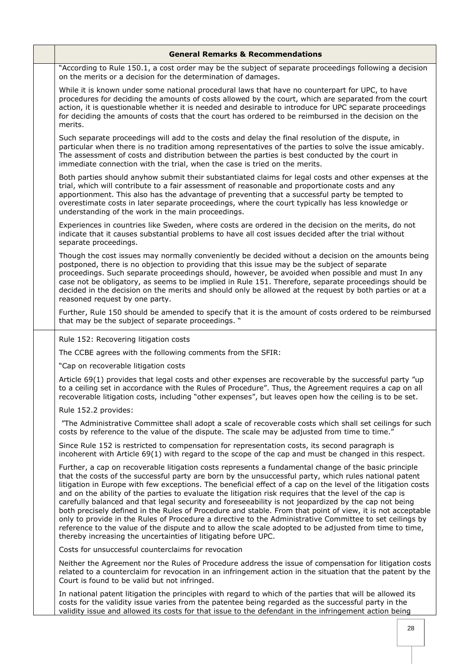| <b>General Remarks &amp; Recommendations</b>                                                                                                                                                                                                                                                                                                                                                                                                                                                                                                                                                                                                                                                                                                                                                                                                                                                                                                               |
|------------------------------------------------------------------------------------------------------------------------------------------------------------------------------------------------------------------------------------------------------------------------------------------------------------------------------------------------------------------------------------------------------------------------------------------------------------------------------------------------------------------------------------------------------------------------------------------------------------------------------------------------------------------------------------------------------------------------------------------------------------------------------------------------------------------------------------------------------------------------------------------------------------------------------------------------------------|
| "According to Rule 150.1, a cost order may be the subject of separate proceedings following a decision<br>on the merits or a decision for the determination of damages.                                                                                                                                                                                                                                                                                                                                                                                                                                                                                                                                                                                                                                                                                                                                                                                    |
| While it is known under some national procedural laws that have no counterpart for UPC, to have<br>procedures for deciding the amounts of costs allowed by the court, which are separated from the court<br>action, it is questionable whether it is needed and desirable to introduce for UPC separate proceedings<br>for deciding the amounts of costs that the court has ordered to be reimbursed in the decision on the<br>merits.                                                                                                                                                                                                                                                                                                                                                                                                                                                                                                                     |
| Such separate proceedings will add to the costs and delay the final resolution of the dispute, in<br>particular when there is no tradition among representatives of the parties to solve the issue amicably.<br>The assessment of costs and distribution between the parties is best conducted by the court in<br>immediate connection with the trial, when the case is tried on the merits.                                                                                                                                                                                                                                                                                                                                                                                                                                                                                                                                                               |
| Both parties should anyhow submit their substantiated claims for legal costs and other expenses at the<br>trial, which will contribute to a fair assessment of reasonable and proportionate costs and any<br>apportionment. This also has the advantage of preventing that a successful party be tempted to<br>overestimate costs in later separate proceedings, where the court typically has less knowledge or<br>understanding of the work in the main proceedings.                                                                                                                                                                                                                                                                                                                                                                                                                                                                                     |
| Experiences in countries like Sweden, where costs are ordered in the decision on the merits, do not<br>indicate that it causes substantial problems to have all cost issues decided after the trial without<br>separate proceedings.                                                                                                                                                                                                                                                                                                                                                                                                                                                                                                                                                                                                                                                                                                                       |
| Though the cost issues may normally conveniently be decided without a decision on the amounts being<br>postponed, there is no objection to providing that this issue may be the subject of separate<br>proceedings. Such separate proceedings should, however, be avoided when possible and must In any<br>case not be obligatory, as seems to be implied in Rule 151. Therefore, separate proceedings should be<br>decided in the decision on the merits and should only be allowed at the request by both parties or at a<br>reasoned request by one party.                                                                                                                                                                                                                                                                                                                                                                                              |
| Further, Rule 150 should be amended to specify that it is the amount of costs ordered to be reimbursed<br>that may be the subject of separate proceedings. "                                                                                                                                                                                                                                                                                                                                                                                                                                                                                                                                                                                                                                                                                                                                                                                               |
| Rule 152: Recovering litigation costs                                                                                                                                                                                                                                                                                                                                                                                                                                                                                                                                                                                                                                                                                                                                                                                                                                                                                                                      |
| The CCBE agrees with the following comments from the SFIR:                                                                                                                                                                                                                                                                                                                                                                                                                                                                                                                                                                                                                                                                                                                                                                                                                                                                                                 |
| "Cap on recoverable litigation costs                                                                                                                                                                                                                                                                                                                                                                                                                                                                                                                                                                                                                                                                                                                                                                                                                                                                                                                       |
| Article 69(1) provides that legal costs and other expenses are recoverable by the successful party "up<br>to a ceiling set in accordance with the Rules of Procedure". Thus, the Agreement requires a cap on all<br>recoverable litigation costs, including "other expenses", but leaves open how the ceiling is to be set.                                                                                                                                                                                                                                                                                                                                                                                                                                                                                                                                                                                                                                |
| Rule 152.2 provides:                                                                                                                                                                                                                                                                                                                                                                                                                                                                                                                                                                                                                                                                                                                                                                                                                                                                                                                                       |
| "The Administrative Committee shall adopt a scale of recoverable costs which shall set ceilings for such<br>costs by reference to the value of the dispute. The scale may be adjusted from time to time."                                                                                                                                                                                                                                                                                                                                                                                                                                                                                                                                                                                                                                                                                                                                                  |
| Since Rule 152 is restricted to compensation for representation costs, its second paragraph is<br>incoherent with Article 69(1) with regard to the scope of the cap and must be changed in this respect.                                                                                                                                                                                                                                                                                                                                                                                                                                                                                                                                                                                                                                                                                                                                                   |
| Further, a cap on recoverable litigation costs represents a fundamental change of the basic principle<br>that the costs of the successful party are born by the unsuccessful party, which rules national patent<br>litigation in Europe with few exceptions. The beneficial effect of a cap on the level of the litigation costs<br>and on the ability of the parties to evaluate the litigation risk requires that the level of the cap is<br>carefully balanced and that legal security and foreseeability is not jeopardized by the cap not being<br>both precisely defined in the Rules of Procedure and stable. From that point of view, it is not acceptable<br>only to provide in the Rules of Procedure a directive to the Administrative Committee to set ceilings by<br>reference to the value of the dispute and to allow the scale adopted to be adjusted from time to time,<br>thereby increasing the uncertainties of litigating before UPC. |
| Costs for unsuccessful counterclaims for revocation                                                                                                                                                                                                                                                                                                                                                                                                                                                                                                                                                                                                                                                                                                                                                                                                                                                                                                        |
| Neither the Agreement nor the Rules of Procedure address the issue of compensation for litigation costs<br>related to a counterclaim for revocation in an infringement action in the situation that the patent by the<br>Court is found to be valid but not infringed.                                                                                                                                                                                                                                                                                                                                                                                                                                                                                                                                                                                                                                                                                     |
| In national patent litigation the principles with regard to which of the parties that will be allowed its<br>costs for the validity issue varies from the patentee being regarded as the successful party in the<br>validity issue and allowed its costs for that issue to the defendant in the infringement action being                                                                                                                                                                                                                                                                                                                                                                                                                                                                                                                                                                                                                                  |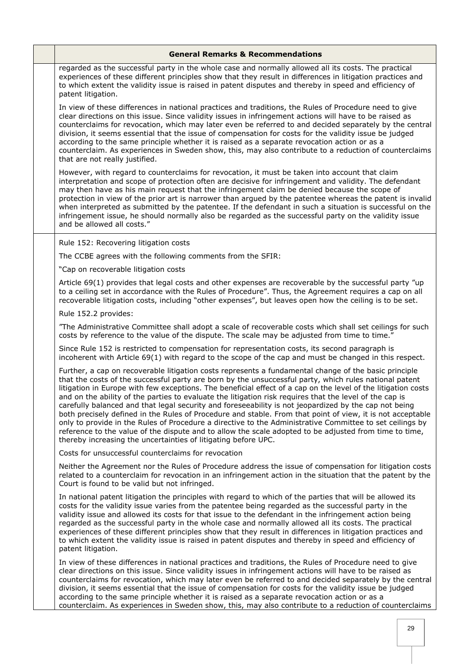| <b>General Remarks &amp; Recommendations</b>                                                                                                                                                                                                                                                                                                                                                                                                                                                                                                                                                                                                                                                                                                                                                                                                                                                                                                               |
|------------------------------------------------------------------------------------------------------------------------------------------------------------------------------------------------------------------------------------------------------------------------------------------------------------------------------------------------------------------------------------------------------------------------------------------------------------------------------------------------------------------------------------------------------------------------------------------------------------------------------------------------------------------------------------------------------------------------------------------------------------------------------------------------------------------------------------------------------------------------------------------------------------------------------------------------------------|
| regarded as the successful party in the whole case and normally allowed all its costs. The practical<br>experiences of these different principles show that they result in differences in litigation practices and<br>to which extent the validity issue is raised in patent disputes and thereby in speed and efficiency of<br>patent litigation.                                                                                                                                                                                                                                                                                                                                                                                                                                                                                                                                                                                                         |
| In view of these differences in national practices and traditions, the Rules of Procedure need to give<br>clear directions on this issue. Since validity issues in infringement actions will have to be raised as<br>counterclaims for revocation, which may later even be referred to and decided separately by the central<br>division, it seems essential that the issue of compensation for costs for the validity issue be judged<br>according to the same principle whether it is raised as a separate revocation action or as a<br>counterclaim. As experiences in Sweden show, this, may also contribute to a reduction of counterclaims<br>that are not really justified.                                                                                                                                                                                                                                                                         |
| However, with regard to counterclaims for revocation, it must be taken into account that claim<br>interpretation and scope of protection often are decisive for infringement and validity. The defendant<br>may then have as his main request that the infringement claim be denied because the scope of<br>protection in view of the prior art is narrower than argued by the patentee whereas the patent is invalid<br>when interpreted as submitted by the patentee. If the defendant in such a situation is successful on the<br>infringement issue, he should normally also be regarded as the successful party on the validity issue<br>and be allowed all costs."                                                                                                                                                                                                                                                                                   |
| Rule 152: Recovering litigation costs                                                                                                                                                                                                                                                                                                                                                                                                                                                                                                                                                                                                                                                                                                                                                                                                                                                                                                                      |
| The CCBE agrees with the following comments from the SFIR:                                                                                                                                                                                                                                                                                                                                                                                                                                                                                                                                                                                                                                                                                                                                                                                                                                                                                                 |
| "Cap on recoverable litigation costs                                                                                                                                                                                                                                                                                                                                                                                                                                                                                                                                                                                                                                                                                                                                                                                                                                                                                                                       |
| Article 69(1) provides that legal costs and other expenses are recoverable by the successful party "up<br>to a ceiling set in accordance with the Rules of Procedure". Thus, the Agreement requires a cap on all<br>recoverable litigation costs, including "other expenses", but leaves open how the ceiling is to be set.                                                                                                                                                                                                                                                                                                                                                                                                                                                                                                                                                                                                                                |
| Rule 152.2 provides:                                                                                                                                                                                                                                                                                                                                                                                                                                                                                                                                                                                                                                                                                                                                                                                                                                                                                                                                       |
| "The Administrative Committee shall adopt a scale of recoverable costs which shall set ceilings for such<br>costs by reference to the value of the dispute. The scale may be adjusted from time to time."                                                                                                                                                                                                                                                                                                                                                                                                                                                                                                                                                                                                                                                                                                                                                  |
| Since Rule 152 is restricted to compensation for representation costs, its second paragraph is<br>incoherent with Article 69(1) with regard to the scope of the cap and must be changed in this respect.                                                                                                                                                                                                                                                                                                                                                                                                                                                                                                                                                                                                                                                                                                                                                   |
| Further, a cap on recoverable litigation costs represents a fundamental change of the basic principle<br>that the costs of the successful party are born by the unsuccessful party, which rules national patent<br>litigation in Europe with few exceptions. The beneficial effect of a cap on the level of the litigation costs<br>and on the ability of the parties to evaluate the litigation risk requires that the level of the cap is<br>carefully balanced and that legal security and foreseeability is not jeopardized by the cap not being<br>both precisely defined in the Rules of Procedure and stable. From that point of view, it is not acceptable<br>only to provide in the Rules of Procedure a directive to the Administrative Committee to set ceilings by<br>reference to the value of the dispute and to allow the scale adopted to be adjusted from time to time,<br>thereby increasing the uncertainties of litigating before UPC. |
| Costs for unsuccessful counterclaims for revocation                                                                                                                                                                                                                                                                                                                                                                                                                                                                                                                                                                                                                                                                                                                                                                                                                                                                                                        |
| Neither the Agreement nor the Rules of Procedure address the issue of compensation for litigation costs<br>related to a counterclaim for revocation in an infringement action in the situation that the patent by the<br>Court is found to be valid but not infringed.                                                                                                                                                                                                                                                                                                                                                                                                                                                                                                                                                                                                                                                                                     |
| In national patent litigation the principles with regard to which of the parties that will be allowed its<br>costs for the validity issue varies from the patentee being regarded as the successful party in the<br>validity issue and allowed its costs for that issue to the defendant in the infringement action being<br>regarded as the successful party in the whole case and normally allowed all its costs. The practical<br>experiences of these different principles show that they result in differences in litigation practices and<br>to which extent the validity issue is raised in patent disputes and thereby in speed and efficiency of<br>patent litigation.                                                                                                                                                                                                                                                                            |
| In view of these differences in national practices and traditions, the Rules of Procedure need to give<br>clear directions on this issue. Since validity issues in infringement actions will have to be raised as<br>counterclaims for revocation, which may later even be referred to and decided separately by the central<br>division, it seems essential that the issue of compensation for costs for the validity issue be judged<br>according to the same principle whether it is raised as a separate revocation action or as a<br>counterclaim. As experiences in Sweden show, this, may also contribute to a reduction of counterclaims                                                                                                                                                                                                                                                                                                           |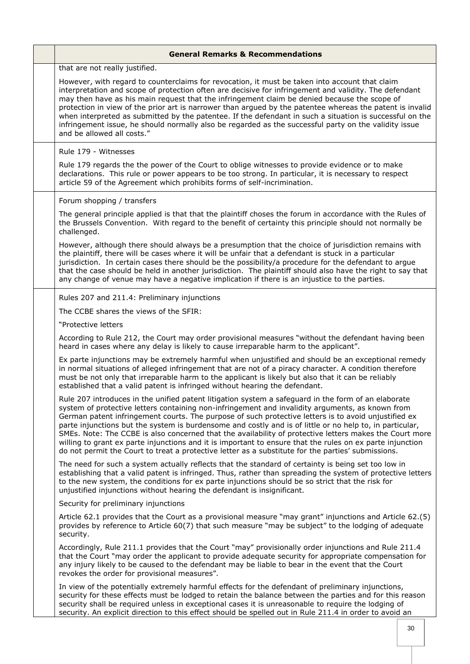| <b>General Remarks &amp; Recommendations</b>                                                                                                                                                                                                                                                                                                                                                                                                                                                                                                                                                                                                                                                                                                              |
|-----------------------------------------------------------------------------------------------------------------------------------------------------------------------------------------------------------------------------------------------------------------------------------------------------------------------------------------------------------------------------------------------------------------------------------------------------------------------------------------------------------------------------------------------------------------------------------------------------------------------------------------------------------------------------------------------------------------------------------------------------------|
| that are not really justified.                                                                                                                                                                                                                                                                                                                                                                                                                                                                                                                                                                                                                                                                                                                            |
| However, with regard to counterclaims for revocation, it must be taken into account that claim<br>interpretation and scope of protection often are decisive for infringement and validity. The defendant<br>may then have as his main request that the infringement claim be denied because the scope of<br>protection in view of the prior art is narrower than argued by the patentee whereas the patent is invalid<br>when interpreted as submitted by the patentee. If the defendant in such a situation is successful on the<br>infringement issue, he should normally also be regarded as the successful party on the validity issue<br>and be allowed all costs."                                                                                  |
| Rule 179 - Witnesses                                                                                                                                                                                                                                                                                                                                                                                                                                                                                                                                                                                                                                                                                                                                      |
| Rule 179 regards the the power of the Court to oblige witnesses to provide evidence or to make<br>declarations. This rule or power appears to be too strong. In particular, it is necessary to respect<br>article 59 of the Agreement which prohibits forms of self-incrimination.                                                                                                                                                                                                                                                                                                                                                                                                                                                                        |
| Forum shopping / transfers                                                                                                                                                                                                                                                                                                                                                                                                                                                                                                                                                                                                                                                                                                                                |
| The general principle applied is that that the plaintiff choses the forum in accordance with the Rules of<br>the Brussels Convention. With regard to the benefit of certainty this principle should not normally be<br>challenged.                                                                                                                                                                                                                                                                                                                                                                                                                                                                                                                        |
| However, although there should always be a presumption that the choice of jurisdiction remains with<br>the plaintiff, there will be cases where it will be unfair that a defendant is stuck in a particular<br>jurisdiction. In certain cases there should be the possibility/a procedure for the defendant to argue<br>that the case should be held in another jurisdiction. The plaintiff should also have the right to say that<br>any change of venue may have a negative implication if there is an injustice to the parties.                                                                                                                                                                                                                        |
| Rules 207 and 211.4: Preliminary injunctions                                                                                                                                                                                                                                                                                                                                                                                                                                                                                                                                                                                                                                                                                                              |
| The CCBE shares the views of the SFIR:                                                                                                                                                                                                                                                                                                                                                                                                                                                                                                                                                                                                                                                                                                                    |
| "Protective letters                                                                                                                                                                                                                                                                                                                                                                                                                                                                                                                                                                                                                                                                                                                                       |
| According to Rule 212, the Court may order provisional measures "without the defendant having been<br>heard in cases where any delay is likely to cause irreparable harm to the applicant".                                                                                                                                                                                                                                                                                                                                                                                                                                                                                                                                                               |
| Ex parte injunctions may be extremely harmful when unjustified and should be an exceptional remedy<br>in normal situations of alleged infringement that are not of a piracy character. A condition therefore<br>must be not only that irreparable harm to the applicant is likely but also that it can be reliably<br>established that a valid patent is infringed without hearing the defendant.                                                                                                                                                                                                                                                                                                                                                         |
| Rule 207 introduces in the unified patent litigation system a safeguard in the form of an elaborate<br>system of protective letters containing non-infringement and invalidity arguments, as known from<br>German patent infringement courts. The purpose of such protective letters is to avoid unjustified ex<br>parte injunctions but the system is burdensome and costly and is of little or no help to, in particular,<br>SMEs. Note: The CCBE is also concerned that the availability of protective letters makes the Court more<br>willing to grant ex parte injunctions and it is important to ensure that the rules on ex parte injunction<br>do not permit the Court to treat a protective letter as a substitute for the parties' submissions. |
| The need for such a system actually reflects that the standard of certainty is being set too low in<br>establishing that a valid patent is infringed. Thus, rather than spreading the system of protective letters<br>to the new system, the conditions for ex parte injunctions should be so strict that the risk for<br>unjustified injunctions without hearing the defendant is insignificant.                                                                                                                                                                                                                                                                                                                                                         |
| Security for preliminary injunctions                                                                                                                                                                                                                                                                                                                                                                                                                                                                                                                                                                                                                                                                                                                      |
| Article 62.1 provides that the Court as a provisional measure "may grant" injunctions and Article 62.(5)<br>provides by reference to Article 60(7) that such measure "may be subject" to the lodging of adequate<br>security.                                                                                                                                                                                                                                                                                                                                                                                                                                                                                                                             |
| Accordingly, Rule 211.1 provides that the Court "may" provisionally order injunctions and Rule 211.4<br>that the Court "may order the applicant to provide adequate security for appropriate compensation for<br>any injury likely to be caused to the defendant may be liable to bear in the event that the Court<br>revokes the order for provisional measures".                                                                                                                                                                                                                                                                                                                                                                                        |
| In view of the potentially extremely harmful effects for the defendant of preliminary injunctions,<br>security for these effects must be lodged to retain the balance between the parties and for this reason<br>security shall be required unless in exceptional cases it is unreasonable to require the lodging of<br>security. An explicit direction to this effect should be spelled out in Rule 211.4 in order to avoid an                                                                                                                                                                                                                                                                                                                           |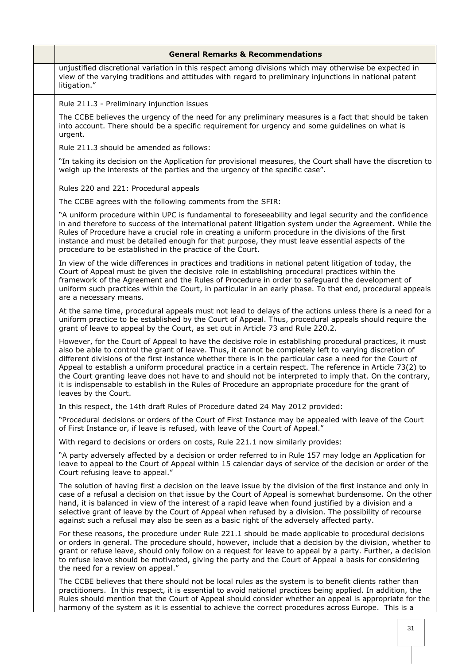| <b>General Remarks &amp; Recommendations</b>                                                                                                                                                                                                                                                                                                                                                                                                                                                                                                                                                                                                                                             |
|------------------------------------------------------------------------------------------------------------------------------------------------------------------------------------------------------------------------------------------------------------------------------------------------------------------------------------------------------------------------------------------------------------------------------------------------------------------------------------------------------------------------------------------------------------------------------------------------------------------------------------------------------------------------------------------|
| unjustified discretional variation in this respect among divisions which may otherwise be expected in<br>view of the varying traditions and attitudes with regard to preliminary injunctions in national patent<br>litigation."                                                                                                                                                                                                                                                                                                                                                                                                                                                          |
| Rule 211.3 - Preliminary injunction issues                                                                                                                                                                                                                                                                                                                                                                                                                                                                                                                                                                                                                                               |
| The CCBE believes the urgency of the need for any preliminary measures is a fact that should be taken<br>into account. There should be a specific requirement for urgency and some guidelines on what is<br>urgent.                                                                                                                                                                                                                                                                                                                                                                                                                                                                      |
| Rule 211.3 should be amended as follows:                                                                                                                                                                                                                                                                                                                                                                                                                                                                                                                                                                                                                                                 |
| "In taking its decision on the Application for provisional measures, the Court shall have the discretion to<br>weigh up the interests of the parties and the urgency of the specific case".                                                                                                                                                                                                                                                                                                                                                                                                                                                                                              |
| Rules 220 and 221: Procedural appeals                                                                                                                                                                                                                                                                                                                                                                                                                                                                                                                                                                                                                                                    |
| The CCBE agrees with the following comments from the SFIR:                                                                                                                                                                                                                                                                                                                                                                                                                                                                                                                                                                                                                               |
| "A uniform procedure within UPC is fundamental to foreseeability and legal security and the confidence<br>in and therefore to success of the international patent litigation system under the Agreement. While the<br>Rules of Procedure have a crucial role in creating a uniform procedure in the divisions of the first<br>instance and must be detailed enough for that purpose, they must leave essential aspects of the<br>procedure to be established in the practice of the Court.                                                                                                                                                                                               |
| In view of the wide differences in practices and traditions in national patent litigation of today, the<br>Court of Appeal must be given the decisive role in establishing procedural practices within the<br>framework of the Agreement and the Rules of Procedure in order to safeguard the development of<br>uniform such practices within the Court, in particular in an early phase. To that end, procedural appeals<br>are a necessary means.                                                                                                                                                                                                                                      |
| At the same time, procedural appeals must not lead to delays of the actions unless there is a need for a<br>uniform practice to be established by the Court of Appeal. Thus, procedural appeals should require the<br>grant of leave to appeal by the Court, as set out in Article 73 and Rule 220.2.                                                                                                                                                                                                                                                                                                                                                                                    |
| However, for the Court of Appeal to have the decisive role in establishing procedural practices, it must<br>also be able to control the grant of leave. Thus, it cannot be completely left to varying discretion of<br>different divisions of the first instance whether there is in the particular case a need for the Court of<br>Appeal to establish a uniform procedural practice in a certain respect. The reference in Article 73(2) to<br>the Court granting leave does not have to and should not be interpreted to imply that. On the contrary,<br>it is indispensable to establish in the Rules of Procedure an appropriate procedure for the grant of<br>leaves by the Court. |
| In this respect, the 14th draft Rules of Procedure dated 24 May 2012 provided:                                                                                                                                                                                                                                                                                                                                                                                                                                                                                                                                                                                                           |
| "Procedural decisions or orders of the Court of First Instance may be appealed with leave of the Court<br>of First Instance or, if leave is refused, with leave of the Court of Appeal."                                                                                                                                                                                                                                                                                                                                                                                                                                                                                                 |
| With regard to decisions or orders on costs, Rule 221.1 now similarly provides:                                                                                                                                                                                                                                                                                                                                                                                                                                                                                                                                                                                                          |
| "A party adversely affected by a decision or order referred to in Rule 157 may lodge an Application for<br>leave to appeal to the Court of Appeal within 15 calendar days of service of the decision or order of the<br>Court refusing leave to appeal."                                                                                                                                                                                                                                                                                                                                                                                                                                 |
| The solution of having first a decision on the leave issue by the division of the first instance and only in<br>case of a refusal a decision on that issue by the Court of Appeal is somewhat burdensome. On the other<br>hand, it is balanced in view of the interest of a rapid leave when found justified by a division and a<br>selective grant of leave by the Court of Appeal when refused by a division. The possibility of recourse<br>against such a refusal may also be seen as a basic right of the adversely affected party.                                                                                                                                                 |
| For these reasons, the procedure under Rule 221.1 should be made applicable to procedural decisions<br>or orders in general. The procedure should, however, include that a decision by the division, whether to<br>grant or refuse leave, should only follow on a request for leave to appeal by a party. Further, a decision<br>to refuse leave should be motivated, giving the party and the Court of Appeal a basis for considering<br>the need for a review on appeal."                                                                                                                                                                                                              |
| The CCBE believes that there should not be local rules as the system is to benefit clients rather than<br>practitioners. In this respect, it is essential to avoid national practices being applied. In addition, the<br>Rules should mention that the Court of Appeal should consider whether an appeal is appropriate for the<br>harmony of the system as it is essential to achieve the correct procedures across Europe. This is a                                                                                                                                                                                                                                                   |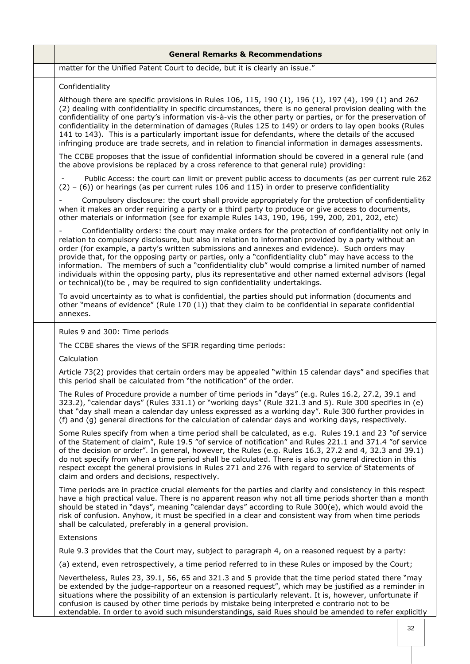| <b>General Remarks &amp; Recommendations</b>                                                                                                                                                                                                                                                                                                                                                                                                                                                                                                                                                                                                                                                                          |
|-----------------------------------------------------------------------------------------------------------------------------------------------------------------------------------------------------------------------------------------------------------------------------------------------------------------------------------------------------------------------------------------------------------------------------------------------------------------------------------------------------------------------------------------------------------------------------------------------------------------------------------------------------------------------------------------------------------------------|
| matter for the Unified Patent Court to decide, but it is clearly an issue."                                                                                                                                                                                                                                                                                                                                                                                                                                                                                                                                                                                                                                           |
| Confidentiality                                                                                                                                                                                                                                                                                                                                                                                                                                                                                                                                                                                                                                                                                                       |
| Although there are specific provisions in Rules 106, 115, 190 (1), 196 (1), 197 (4), 199 (1) and 262<br>(2) dealing with confidentiality in specific circumstances, there is no general provision dealing with the<br>confidentiality of one party's information vis-à-vis the other party or parties, or for the preservation of<br>confidentiality in the determination of damages (Rules 125 to 149) or orders to lay open books (Rules<br>141 to 143). This is a particularly important issue for defendants, where the details of the accused<br>infringing produce are trade secrets, and in relation to financial information in damages assessments.                                                          |
| The CCBE proposes that the issue of confidential information should be covered in a general rule (and<br>the above provisions be replaced by a cross reference to that general rule) providing:                                                                                                                                                                                                                                                                                                                                                                                                                                                                                                                       |
| Public Access: the court can limit or prevent public access to documents (as per current rule 262<br>$(2) - (6)$ ) or hearings (as per current rules 106 and 115) in order to preserve confidentiality                                                                                                                                                                                                                                                                                                                                                                                                                                                                                                                |
| Compulsory disclosure: the court shall provide appropriately for the protection of confidentiality<br>when it makes an order requiring a party or a third party to produce or give access to documents,<br>other materials or information (see for example Rules 143, 190, 196, 199, 200, 201, 202, etc)                                                                                                                                                                                                                                                                                                                                                                                                              |
| Confidentiality orders: the court may make orders for the protection of confidentiality not only in<br>relation to compulsory disclosure, but also in relation to information provided by a party without an<br>order (for example, a party's written submissions and annexes and evidence). Such orders may<br>provide that, for the opposing party or parties, only a "confidentiality club" may have access to the<br>information. The members of such a "confidentiality club" would comprise a limited number of named<br>individuals within the opposing party, plus its representative and other named external advisors (legal<br>or technical) (to be, may be required to sign confidentiality undertakings. |
| To avoid uncertainty as to what is confidential, the parties should put information (documents and<br>other "means of evidence" (Rule 170 (1)) that they claim to be confidential in separate confidential<br>annexes.                                                                                                                                                                                                                                                                                                                                                                                                                                                                                                |
| Rules 9 and 300: Time periods                                                                                                                                                                                                                                                                                                                                                                                                                                                                                                                                                                                                                                                                                         |
| The CCBE shares the views of the SFIR regarding time periods:                                                                                                                                                                                                                                                                                                                                                                                                                                                                                                                                                                                                                                                         |
| Calculation                                                                                                                                                                                                                                                                                                                                                                                                                                                                                                                                                                                                                                                                                                           |
| Article 73(2) provides that certain orders may be appealed "within 15 calendar days" and specifies that<br>this period shall be calculated from "the notification" of the order.                                                                                                                                                                                                                                                                                                                                                                                                                                                                                                                                      |
| The Rules of Procedure provide a number of time periods in "days" (e.g. Rules 16.2, 27.2, 39.1 and<br>323.2), "calendar days" (Rules 331.1) or "working days" (Rule 321.3 and 5). Rule 300 specifies in (e)<br>that "day shall mean a calendar day unless expressed as a working day". Rule 300 further provides in<br>(f) and (g) general directions for the calculation of calendar days and working days, respectively.                                                                                                                                                                                                                                                                                            |
| Some Rules specify from when a time period shall be calculated, as e.g. Rules 19.1 and 23 "of service<br>of the Statement of claim", Rule 19.5 "of service of notification" and Rules 221.1 and 371.4 "of service<br>of the decision or order". In general, however, the Rules (e.g. Rules 16.3, 27.2 and 4, 32.3 and 39.1)<br>do not specify from when a time period shall be calculated. There is also no general direction in this<br>respect except the general provisions in Rules 271 and 276 with regard to service of Statements of<br>claim and orders and decisions, respectively.                                                                                                                          |
| Time periods are in practice crucial elements for the parties and clarity and consistency in this respect<br>have a high practical value. There is no apparent reason why not all time periods shorter than a month<br>should be stated in "days", meaning "calendar days" according to Rule 300(e), which would avoid the<br>risk of confusion. Anyhow, it must be specified in a clear and consistent way from when time periods<br>shall be calculated, preferably in a general provision.                                                                                                                                                                                                                         |
| Extensions                                                                                                                                                                                                                                                                                                                                                                                                                                                                                                                                                                                                                                                                                                            |
| Rule 9.3 provides that the Court may, subject to paragraph 4, on a reasoned request by a party:                                                                                                                                                                                                                                                                                                                                                                                                                                                                                                                                                                                                                       |
| (a) extend, even retrospectively, a time period referred to in these Rules or imposed by the Court;                                                                                                                                                                                                                                                                                                                                                                                                                                                                                                                                                                                                                   |
| Nevertheless, Rules 23, 39.1, 56, 65 and 321.3 and 5 provide that the time period stated there "may<br>be extended by the judge-rapporteur on a reasoned request", which may be justified as a reminder in<br>situations where the possibility of an extension is particularly relevant. It is, however, unfortunate if<br>confusion is caused by other time periods by mistake being interpreted e contrario not to be<br>extendable. In order to avoid such misunderstandings, said Rues should be amended to refer explicitly                                                                                                                                                                                      |